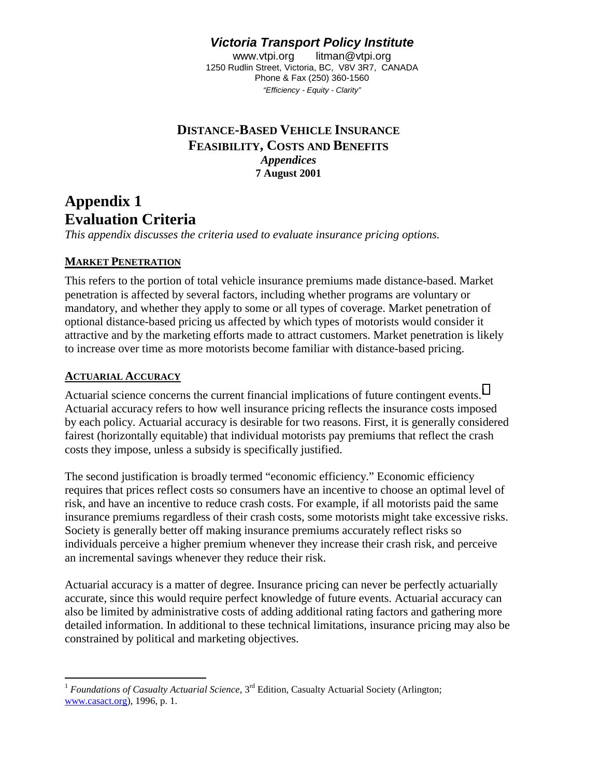# *Victoria Transport Policy Institute*

www.vtpi.org litman@vtpi.org 1250 Rudlin Street, Victoria, BC, V8V 3R7, CANADA Phone & Fax (250) 360-1560 *"Efficiency - Equity - Clarity"*

## **DISTANCE-BASED VEHICLE INSURANCE FEASIBILITY, COSTS AND BENEFITS** *Appendices*  **7 August 2001**

## **Appendix 1 Evaluation Criteria**

*This appendix discusses the criteria used to evaluate insurance pricing options.* 

## **MARKET PENETRATION**

This refers to the portion of total vehicle insurance premiums made distance-based. Market penetration is affected by several factors, including whether programs are voluntary or mandatory, and whether they apply to some or all types of coverage. Market penetration of optional distance-based pricing us affected by which types of motorists would consider it attractive and by the marketing efforts made to attract customers. Market penetration is likely to increase over time as more motorists become familiar with distance-based pricing.

## **ACTUARIAL ACCURACY**

Actuarial science concerns the current financial implications of future contingent events.<sup>1</sup> Actuarial accuracy refers to how well insurance pricing reflects the insurance costs imposed by each policy. Actuarial accuracy is desirable for two reasons. First, it is generally considered fairest (horizontally equitable) that individual motorists pay premiums that reflect the crash costs they impose, unless a subsidy is specifically justified.

The second justification is broadly termed "economic efficiency." Economic efficiency requires that prices reflect costs so consumers have an incentive to choose an optimal level of risk, and have an incentive to reduce crash costs. For example, if all motorists paid the same insurance premiums regardless of their crash costs, some motorists might take excessive risks. Society is generally better off making insurance premiums accurately reflect risks so individuals perceive a higher premium whenever they increase their crash risk, and perceive an incremental savings whenever they reduce their risk.

Actuarial accuracy is a matter of degree. Insurance pricing can never be perfectly actuarially accurate, since this would require perfect knowledge of future events. Actuarial accuracy can also be limited by administrative costs of adding additional rating factors and gathering more detailed information. In additional to these technical limitations, insurance pricing may also be constrained by political and marketing objectives.

 $\overline{a}$ <sup>1</sup> *Foundations of Casualty Actuarial Science*, 3<sup>rd</sup> Edition, Casualty Actuarial Society (Arlington; www.casact.org), 1996, p. 1.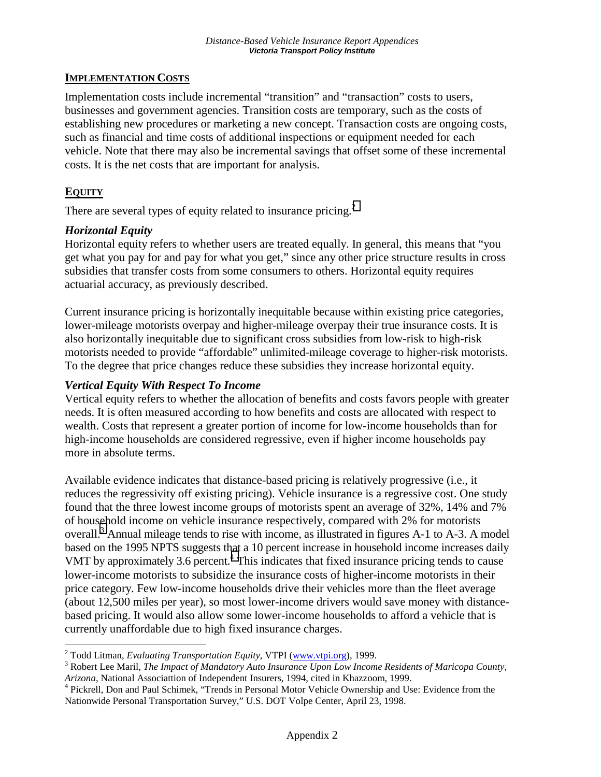### **IMPLEMENTATION COSTS**

Implementation costs include incremental "transition" and "transaction" costs to users, businesses and government agencies. Transition costs are temporary, such as the costs of establishing new procedures or marketing a new concept. Transaction costs are ongoing costs, such as financial and time costs of additional inspections or equipment needed for each vehicle. Note that there may also be incremental savings that offset some of these incremental costs. It is the net costs that are important for analysis.

## **EQUITY**

 $\overline{a}$ 

There are several types of equity related to insurance pricing.<sup>2</sup>

## *Horizontal Equity*

Horizontal equity refers to whether users are treated equally. In general, this means that "you get what you pay for and pay for what you get," since any other price structure results in cross subsidies that transfer costs from some consumers to others. Horizontal equity requires actuarial accuracy, as previously described.

Current insurance pricing is horizontally inequitable because within existing price categories, lower-mileage motorists overpay and higher-mileage overpay their true insurance costs. It is also horizontally inequitable due to significant cross subsidies from low-risk to high-risk motorists needed to provide "affordable" unlimited-mileage coverage to higher-risk motorists. To the degree that price changes reduce these subsidies they increase horizontal equity.

## *Vertical Equity With Respect To Income*

Vertical equity refers to whether the allocation of benefits and costs favors people with greater needs. It is often measured according to how benefits and costs are allocated with respect to wealth. Costs that represent a greater portion of income for low-income households than for high-income households are considered regressive, even if higher income households pay more in absolute terms.

Available evidence indicates that distance-based pricing is relatively progressive (i.e., it reduces the regressivity off existing pricing). Vehicle insurance is a regressive cost. One study found that the three lowest income groups of motorists spent an average of 32%, 14% and 7% of household income on vehicle insurance respectively, compared with 2% for motorists overall.<sup>3</sup> Annual mileage tends to rise with income, as illustrated in figures A-1 to A-3. A model based on the 1995 NPTS suggests that a 10 percent increase in household income increases daily VMT by approximately  $3.6$  percent.<sup>4</sup> This indicates that fixed insurance pricing tends to cause lower-income motorists to subsidize the insurance costs of higher-income motorists in their price category. Few low-income households drive their vehicles more than the fleet average (about 12,500 miles per year), so most lower-income drivers would save money with distancebased pricing. It would also allow some lower-income households to afford a vehicle that is currently unaffordable due to high fixed insurance charges.

<sup>&</sup>lt;sup>2</sup> Todd Litman, *Evaluating Transportation Equity*, VTPI (www.vtpi.org), 1999.

Robert Lee Maril, *The Impact of Mandatory Auto Insurance Upon Low Income Residents of Maricopa County,* 

*Arizona*, National Associattion of Independent Insurers, 1994, cited in Khazzoom, 1999.<br><sup>4</sup> Pickrell, Don and Paul Schimek, ''Trends in Personal Motor Vehicle Ownership and Use: Evidence from the Nationwide Personal Transportation Survey," U.S. DOT Volpe Center, April 23, 1998.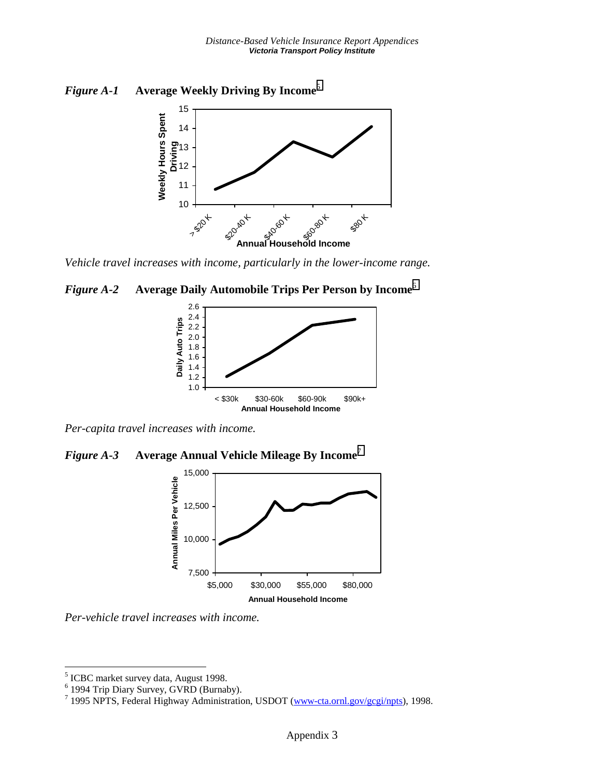



*Vehicle travel increases with income, particularly in the lower-income range.* 

*Figure A-2* **Average Daily Automobile Trips Per Person by Income**<sup>6</sup>



*Per-capita travel increases with income.* 

*Figure A-3* **Average Annual Vehicle Mileage By Income**<sup>7</sup>



*Per-vehicle travel increases with income.* 

<sup>&</sup>lt;sup>5</sup><br>ICBC market survey data, August 1998.<br><sup>6</sup> 1994 Trip Diary Survey, GVRD (Burnaby).

<sup>&</sup>lt;sup>7</sup> 1995 NPTS, Federal Highway Administration, USDOT (www-cta.ornl.gov/gcgi/npts), 1998.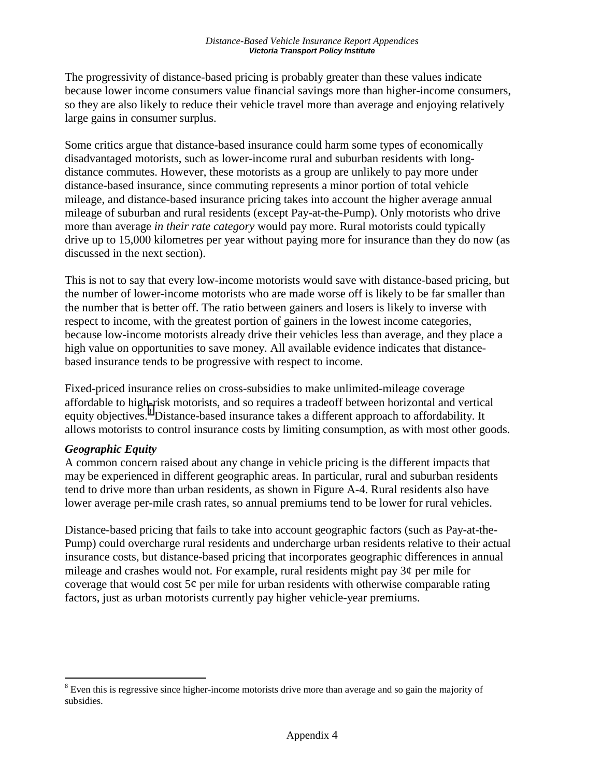The progressivity of distance-based pricing is probably greater than these values indicate because lower income consumers value financial savings more than higher-income consumers, so they are also likely to reduce their vehicle travel more than average and enjoying relatively large gains in consumer surplus.

Some critics argue that distance-based insurance could harm some types of economically disadvantaged motorists, such as lower-income rural and suburban residents with longdistance commutes. However, these motorists as a group are unlikely to pay more under distance-based insurance, since commuting represents a minor portion of total vehicle mileage, and distance-based insurance pricing takes into account the higher average annual mileage of suburban and rural residents (except Pay-at-the-Pump). Only motorists who drive more than average *in their rate category* would pay more. Rural motorists could typically drive up to 15,000 kilometres per year without paying more for insurance than they do now (as discussed in the next section).

This is not to say that every low-income motorists would save with distance-based pricing, but the number of lower-income motorists who are made worse off is likely to be far smaller than the number that is better off. The ratio between gainers and losers is likely to inverse with respect to income, with the greatest portion of gainers in the lowest income categories, because low-income motorists already drive their vehicles less than average, and they place a high value on opportunities to save money. All available evidence indicates that distancebased insurance tends to be progressive with respect to income.

Fixed-priced insurance relies on cross-subsidies to make unlimited-mileage coverage affordable to high-risk motorists, and so requires a tradeoff between horizontal and vertical equity objectives.<sup>8</sup> Distance-based insurance takes a different approach to affordability. It allows motorists to control insurance costs by limiting consumption, as with most other goods.

### *Geographic Equity*

 $\overline{a}$ 

A common concern raised about any change in vehicle pricing is the different impacts that may be experienced in different geographic areas. In particular, rural and suburban residents tend to drive more than urban residents, as shown in Figure A-4. Rural residents also have lower average per-mile crash rates, so annual premiums tend to be lower for rural vehicles.

Distance-based pricing that fails to take into account geographic factors (such as Pay-at-the-Pump) could overcharge rural residents and undercharge urban residents relative to their actual insurance costs, but distance-based pricing that incorporates geographic differences in annual mileage and crashes would not. For example, rural residents might pay 3¢ per mile for coverage that would cost  $5¢$  per mile for urban residents with otherwise comparable rating factors, just as urban motorists currently pay higher vehicle-year premiums.

<sup>&</sup>lt;sup>8</sup> Even this is regressive since higher-income motorists drive more than average and so gain the majority of subsidies.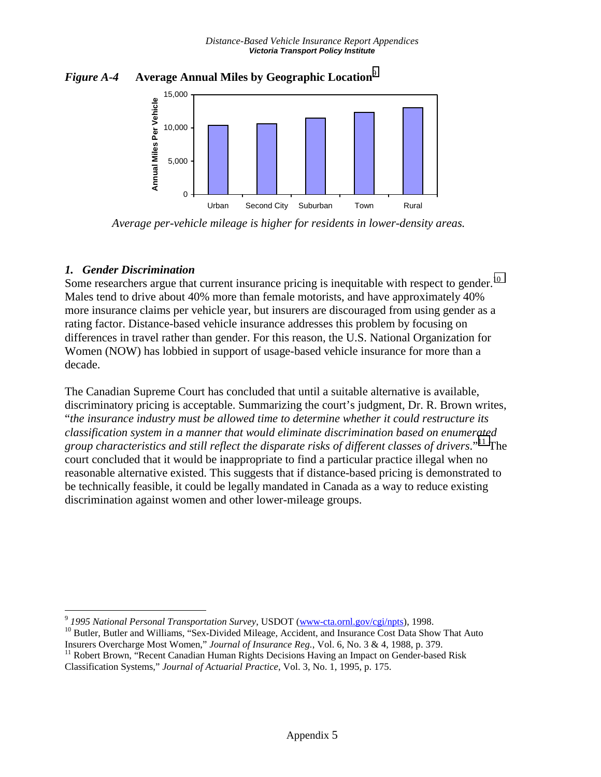



*Average per-vehicle mileage is higher for residents in lower-density areas.* 

## *1. Gender Discrimination*

 $\overline{a}$ 

Some researchers argue that current insurance pricing is inequitable with respect to gender.<sup>10</sup> Males tend to drive about 40% more than female motorists, and have approximately 40% more insurance claims per vehicle year, but insurers are discouraged from using gender as a rating factor. Distance-based vehicle insurance addresses this problem by focusing on differences in travel rather than gender. For this reason, the U.S. National Organization for Women (NOW) has lobbied in support of usage-based vehicle insurance for more than a decade.

The Canadian Supreme Court has concluded that until a suitable alternative is available, discriminatory pricing is acceptable. Summarizing the court's judgment, Dr. R. Brown writes, "*the insurance industry must be allowed time to determine whether it could restructure its classification system in a manner that would eliminate discrimination based on enumerated group characteristics and still reflect the disparate risks of different classes of drivers*."11 The court concluded that it would be inappropriate to find a particular practice illegal when no reasonable alternative existed. This suggests that if distance-based pricing is demonstrated to be technically feasible, it could be legally mandated in Canada as a way to reduce existing discrimination against women and other lower-mileage groups.

<sup>&</sup>lt;sup>9</sup> 1995 National Personal Transportation Survey, USDOT (www-cta.ornl.gov/cgi/npts), 1998.<br><sup>10</sup> Butler, Butler and Williams, "Sex-Divided Mileage, Accident, and Insurance Cost Data Show That Auto Insurers Overcharge Most W

<sup>&</sup>lt;sup>11</sup> Robert Brown, "Recent Canadian Human Rights Decisions Having an Impact on Gender-based Risk Classification Systems," *Journal of Actuarial Practice*, Vol. 3, No. 1, 1995, p. 175.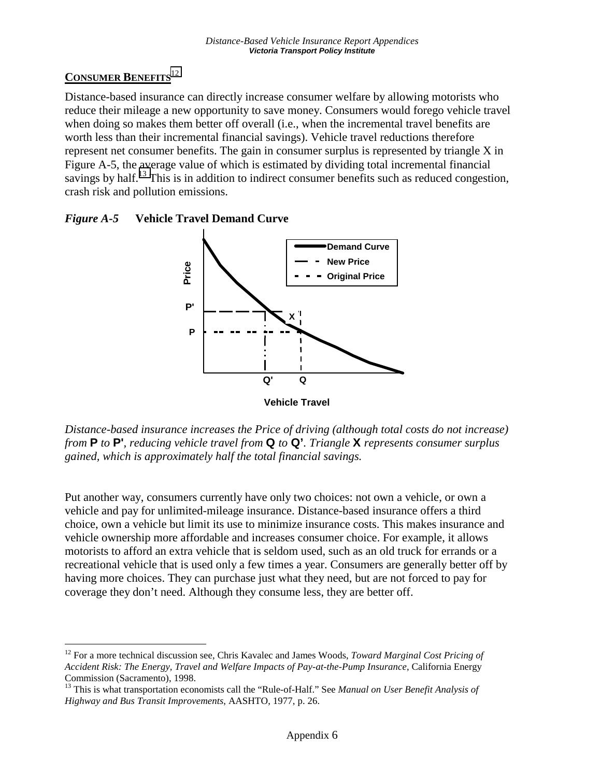## **CONSUMER BENEFITS**<sup>12</sup>

 $\overline{a}$ 

Distance-based insurance can directly increase consumer welfare by allowing motorists who reduce their mileage a new opportunity to save money. Consumers would forego vehicle travel when doing so makes them better off overall (i.e., when the incremental travel benefits are worth less than their incremental financial savings). Vehicle travel reductions therefore represent net consumer benefits. The gain in consumer surplus is represented by triangle X in Figure A-5, the average value of which is estimated by dividing total incremental financial savings by half.<sup>13</sup> This is in addition to indirect consumer benefits such as reduced congestion, crash risk and pollution emissions.





*Distance-based insurance increases the Price of driving (although total costs do not increase) from* **P** *to* **P'***, reducing vehicle travel from* **Q** *to* **Q'***. Triangle* **X** *represents consumer surplus gained, which is approximately half the total financial savings.* 

Put another way, consumers currently have only two choices: not own a vehicle, or own a vehicle and pay for unlimited-mileage insurance. Distance-based insurance offers a third choice, own a vehicle but limit its use to minimize insurance costs. This makes insurance and vehicle ownership more affordable and increases consumer choice. For example, it allows motorists to afford an extra vehicle that is seldom used, such as an old truck for errands or a recreational vehicle that is used only a few times a year. Consumers are generally better off by having more choices. They can purchase just what they need, but are not forced to pay for coverage they don't need. Although they consume less, they are better off.

<sup>12</sup> For a more technical discussion see, Chris Kavalec and James Woods, *Toward Marginal Cost Pricing of Accident Risk: The Energy, Travel and Welfare Impacts of Pay-at-the-Pump Insurance*, California Energy Commission (Sacramento), 1998.

<sup>13</sup> This is what transportation economists call the "Rule-of-Half." See *Manual on User Benefit Analysis of Highway and Bus Transit Improvements*, AASHTO, 1977, p. 26.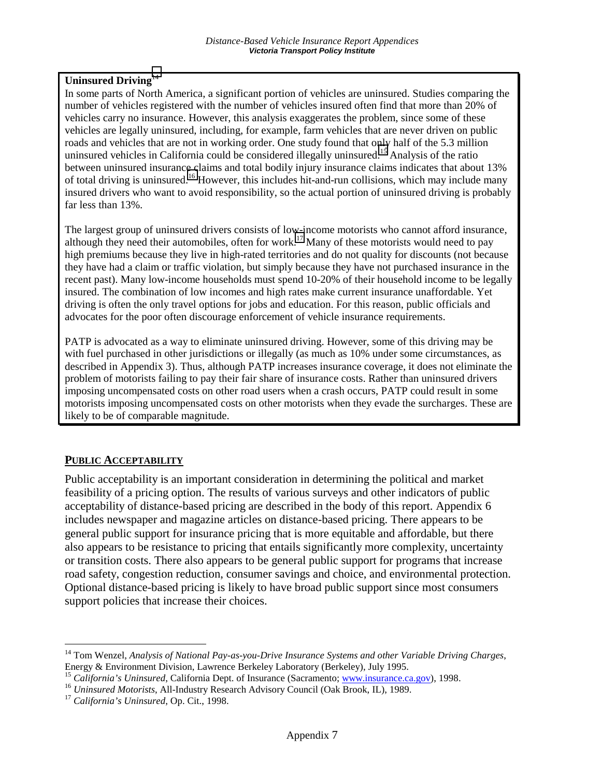## **Uninsured Driving**<sup>14</sup>

In some parts of North America, a significant portion of vehicles are uninsured. Studies comparing the number of vehicles registered with the number of vehicles insured often find that more than 20% of vehicles carry no insurance. However, this analysis exaggerates the problem, since some of these vehicles are legally uninsured, including, for example, farm vehicles that are never driven on public roads and vehicles that are not in working order. One study found that only half of the 5.3 million uninsured vehicles in California could be considered illegally uninsured.<sup>15</sup> Analysis of the ratio between uninsured insurance claims and total bodily injury insurance claims indicates that about 13% of total driving is uninsured.16 However, this includes hit-and-run collisions, which may include many insured drivers who want to avoid responsibility, so the actual portion of uninsured driving is probably far less than 13%.

The largest group of uninsured drivers consists of low-income motorists who cannot afford insurance, although they need their automobiles, often for work.<sup>17</sup> Many of these motorists would need to pay high premiums because they live in high-rated territories and do not quality for discounts (not because they have had a claim or traffic violation, but simply because they have not purchased insurance in the recent past). Many low-income households must spend 10-20% of their household income to be legally insured. The combination of low incomes and high rates make current insurance unaffordable. Yet driving is often the only travel options for jobs and education. For this reason, public officials and advocates for the poor often discourage enforcement of vehicle insurance requirements.

PATP is advocated as a way to eliminate uninsured driving. However, some of this driving may be with fuel purchased in other jurisdictions or illegally (as much as 10% under some circumstances, as described in Appendix 3). Thus, although PATP increases insurance coverage, it does not eliminate the problem of motorists failing to pay their fair share of insurance costs. Rather than uninsured drivers imposing uncompensated costs on other road users when a crash occurs, PATP could result in some motorists imposing uncompensated costs on other motorists when they evade the surcharges. These are likely to be of comparable magnitude.

#### **PUBLIC ACCEPTABILITY**

Public acceptability is an important consideration in determining the political and market feasibility of a pricing option. The results of various surveys and other indicators of public acceptability of distance-based pricing are described in the body of this report. Appendix 6 includes newspaper and magazine articles on distance-based pricing. There appears to be general public support for insurance pricing that is more equitable and affordable, but there also appears to be resistance to pricing that entails significantly more complexity, uncertainty or transition costs. There also appears to be general public support for programs that increase road safety, congestion reduction, consumer savings and choice, and environmental protection. Optional distance-based pricing is likely to have broad public support since most consumers support policies that increase their choices.

<sup>14</sup> Tom Wenzel, *Analysis of National Pay-as-you-Drive Insurance Systems and other Variable Driving Charges*, Energy & Environment Division, Lawrence Berkeley Laboratory (Berkeley), July 1995.

<sup>&</sup>lt;sup>15</sup> California's Uninsured, California Dept. of Insurance (Sacramento; www.insurance.ca.gov), 1998.<br><sup>16</sup> Uninsured Motorists, All-Industry Research Advisory Council (Oak Brook, IL), 1989.<br><sup>17</sup> California's Uninsured, Op.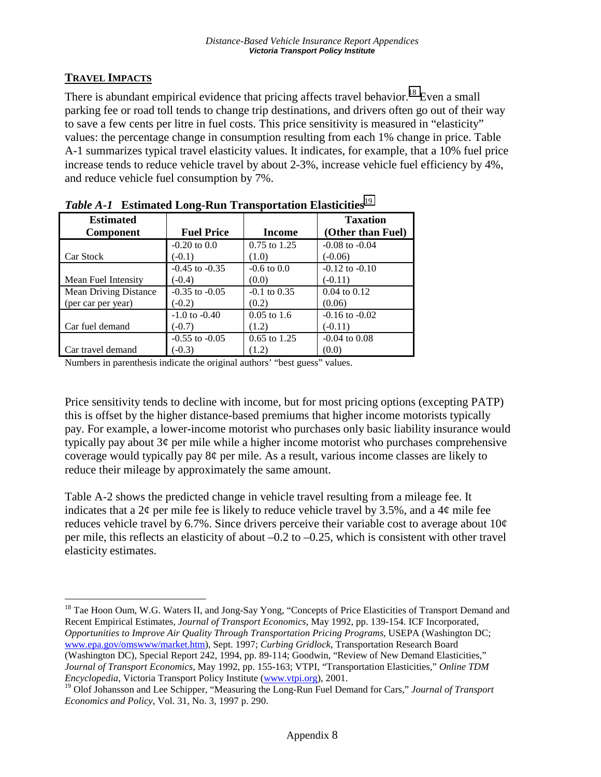## **TRAVEL IMPACTS**

 $\overline{a}$ 

There is abundant empirical evidence that pricing affects travel behavior.<sup>18</sup> Even a small parking fee or road toll tends to change trip destinations, and drivers often go out of their way to save a few cents per litre in fuel costs. This price sensitivity is measured in "elasticity" values: the percentage change in consumption resulting from each 1% change in price. Table A-1 summarizes typical travel elasticity values. It indicates, for example, that a 10% fuel price increase tends to reduce vehicle travel by about 2-3%, increase vehicle fuel efficiency by 4%, and reduce vehicle fuel consumption by 7%.

| <b>Estimated</b><br><b>Component</b> | <b>Fuel Price</b>  | Income           | <b>Taxation</b><br>(Other than Fuel) |
|--------------------------------------|--------------------|------------------|--------------------------------------|
| Car Stock                            | $-0.20$ to $0.0$   | $0.75$ to 1.25   | $-0.08$ to $-0.04$                   |
|                                      | $(-0.1)$           | (1.0)            | $(-0.06)$                            |
| Mean Fuel Intensity                  | $-0.45$ to $-0.35$ | $-0.6$ to $0.0$  | $-0.12$ to $-0.10$                   |
|                                      | $(-0.4)$           | (0.0)            | $(-0.11)$                            |
| <b>Mean Driving Distance</b>         | $-0.35$ to $-0.05$ | $-0.1$ to $0.35$ | $0.04$ to $0.12$                     |
| (per car per year)                   | $(-0.2)$           | (0.2)            | (0.06)                               |
| Car fuel demand                      | $-1.0$ to $-0.40$  | $0.05$ to 1.6    | $-0.16$ to $-0.02$                   |
|                                      | $(-0.7)$           | (1.2)            | $(-0.11)$                            |
| Car travel demand                    | $-0.55$ to $-0.05$ | 0.65 to 1.25     | $-0.04$ to $0.08$                    |
|                                      | $(-0.3)$           | (1.2)            | (0.0)                                |

| Table A-1 Estimated Long-Run Transportation Elasticities <sup>19</sup> |  |
|------------------------------------------------------------------------|--|
|                                                                        |  |

Numbers in parenthesis indicate the original authors' "best guess" values.

Price sensitivity tends to decline with income, but for most pricing options (excepting PATP) this is offset by the higher distance-based premiums that higher income motorists typically pay. For example, a lower-income motorist who purchases only basic liability insurance would typically pay about 3¢ per mile while a higher income motorist who purchases comprehensive coverage would typically pay 8¢ per mile. As a result, various income classes are likely to reduce their mileage by approximately the same amount.

Table A-2 shows the predicted change in vehicle travel resulting from a mileage fee. It indicates that a  $2\varphi$  per mile fee is likely to reduce vehicle travel by 3.5%, and a  $4\varphi$  mile fee reduces vehicle travel by 6.7%. Since drivers perceive their variable cost to average about  $10¢$ per mile, this reflects an elasticity of about –0.2 to –0.25, which is consistent with other travel elasticity estimates.

<sup>18</sup> Tae Hoon Oum, W.G. Waters II, and Jong-Say Yong, "Concepts of Price Elasticities of Transport Demand and Recent Empirical Estimates, *Journal of Transport Economics*, May 1992, pp. 139-154. ICF Incorporated, *Opportunities to Improve Air Quality Through Transportation Pricing Programs*, USEPA (Washington DC; www.epa.gov/omswww/market.htm), Sept. 1997; *Curbing Gridlock*, Transportation Research Board (Washington DC), Special Report 242, 1994, pp. 89-114; Goodwin, "Review of New Demand Elasticities," *Journal of Transport Economics*, May 1992, pp. 155-163; VTPI, "Transportation Elasticities," *Online TDM* 

*Encyclopedia*, Victoria Transport Policy Institute (www.vtpi.org), 2001.

<sup>19</sup> Olof Johansson and Lee Schipper, "Measuring the Long-Run Fuel Demand for Cars," *Journal of Transport Economics and Policy*, Vol. 31, No. 3, 1997 p. 290.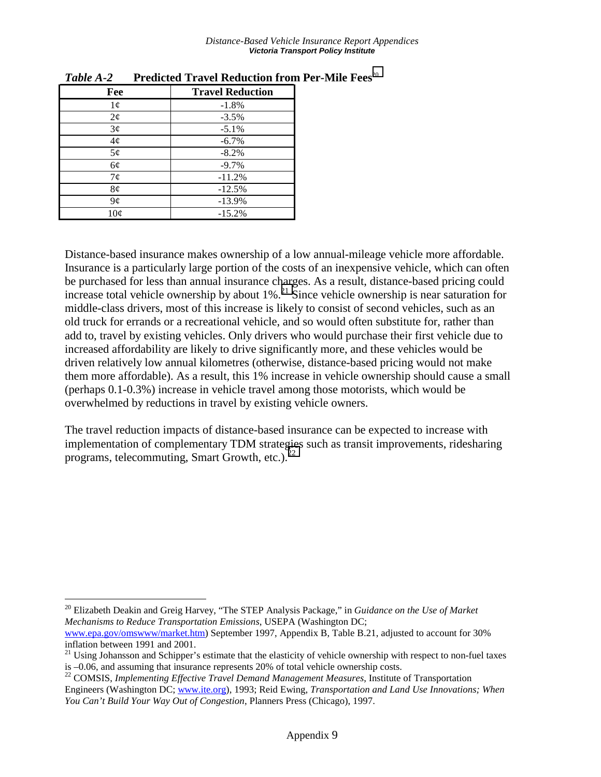| Fee        | <b>Travel Reduction</b> |
|------------|-------------------------|
| $1\phi$    | $-1.8%$                 |
| $2\varphi$ | $-3.5%$                 |
| 3¢         | $-5.1%$                 |
| $4\phi$    | $-6.7%$                 |
| 5¢         | $-8.2%$                 |
| 6¢         | $-9.7%$                 |
| 7¢         | $-11.2%$                |
| 8¢         | $-12.5%$                |
| 9¢         | $-13.9%$                |
| 10¢        | $-15.2%$                |

 $\overline{a}$ 

*Table A-2* **Predicted Travel Reduction from Per-Mile Fees**<sup>20</sup>

Distance-based insurance makes ownership of a low annual-mileage vehicle more affordable. Insurance is a particularly large portion of the costs of an inexpensive vehicle, which can often be purchased for less than annual insurance charges. As a result, distance-based pricing could increase total vehicle ownership by about  $1\%$ <sup>21</sup> Since vehicle ownership is near saturation for middle-class drivers, most of this increase is likely to consist of second vehicles, such as an old truck for errands or a recreational vehicle, and so would often substitute for, rather than add to, travel by existing vehicles. Only drivers who would purchase their first vehicle due to increased affordability are likely to drive significantly more, and these vehicles would be driven relatively low annual kilometres (otherwise, distance-based pricing would not make them more affordable). As a result, this 1% increase in vehicle ownership should cause a small (perhaps 0.1-0.3%) increase in vehicle travel among those motorists, which would be overwhelmed by reductions in travel by existing vehicle owners.

The travel reduction impacts of distance-based insurance can be expected to increase with implementation of complementary TDM strategies such as transit improvements, ridesharing programs, telecommuting, Smart Growth, etc.).<sup>22</sup>

<sup>20</sup> Elizabeth Deakin and Greig Harvey, "The STEP Analysis Package," in *Guidance on the Use of Market Mechanisms to Reduce Transportation Emissions*, USEPA (Washington DC;

www.epa.gov/omswww/market.htm) September 1997, Appendix B, Table B.21, adjusted to account for 30% inflation between 1991 and 2001.

<sup>&</sup>lt;sup>21</sup> Using Johansson and Schipper's estimate that the elasticity of vehicle ownership with respect to non-fuel taxes is –0.06, and assuming that insurance represents 20% of total vehicle ownership costs.

<sup>22</sup> COMSIS, *Implementing Effective Travel Demand Management Measures*, Institute of Transportation Engineers (Washington DC; www.ite.org), 1993; Reid Ewing, *Transportation and Land Use Innovations; When You Can't Build Your Way Out of Congestion*, Planners Press (Chicago), 1997.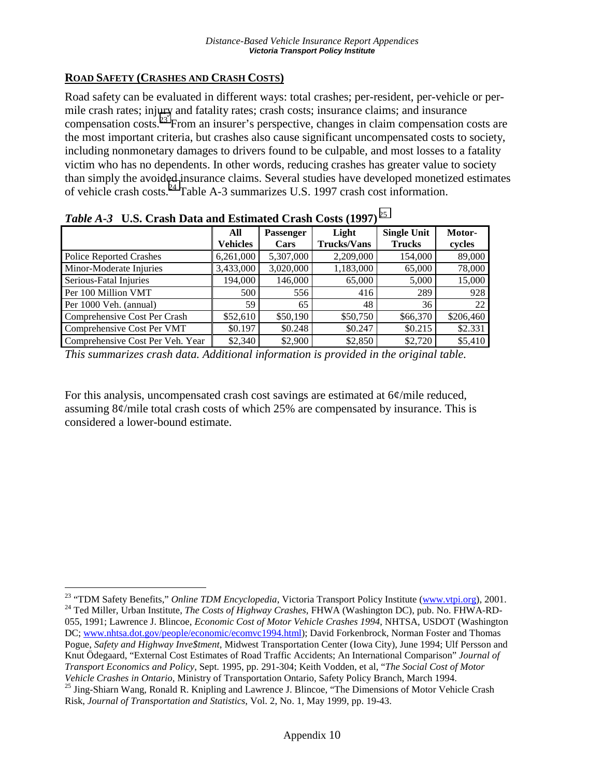## **ROAD SAFETY (CRASHES AND CRASH COSTS)**

Road safety can be evaluated in different ways: total crashes; per-resident, per-vehicle or permile crash rates; injury and fatality rates; crash costs; insurance claims; and insurance compensation costs.23 From an insurer's perspective, changes in claim compensation costs are the most important criteria, but crashes also cause significant uncompensated costs to society, including nonmonetary damages to drivers found to be culpable, and most losses to a fatality victim who has no dependents. In other words, reducing crashes has greater value to society than simply the avoided insurance claims. Several studies have developed monetized estimates of vehicle crash costs.24 Table A-3 summarizes U.S. 1997 crash cost information.

|                                  | All             | <b>Passenger</b> | Light              | <b>Single Unit</b> | Motor-    |
|----------------------------------|-----------------|------------------|--------------------|--------------------|-----------|
|                                  | <b>Vehicles</b> | Cars             | <b>Trucks/Vans</b> | <b>Trucks</b>      | cycles    |
| <b>Police Reported Crashes</b>   | 6,261,000       | 5,307,000        | 2,209,000          | 154,000            | 89,000    |
| Minor-Moderate Injuries          | 3,433,000       | 3,020,000        | 1,183,000          | 65,000             | 78,000    |
| Serious-Fatal Injuries           | 194,000         | 146,000          | 65,000             | 5,000              | 15,000    |
| Per 100 Million VMT              | 500             | 556              | 416                | 289                | 928       |
| Per 1000 Veh. (annual)           | 59              | 65               | 48                 | 36                 | 22        |
| Comprehensive Cost Per Crash     | \$52,610        | \$50,190         | \$50,750           | \$66,370           | \$206,460 |
| Comprehensive Cost Per VMT       | \$0.197         | \$0.248          | \$0.247            | \$0.215            | \$2.331   |
| Comprehensive Cost Per Veh. Year | \$2,340         | \$2,900          | \$2,850            | \$2,720            | \$5,410   |

*Table A-3* **U.S. Crash Data and Estimated Crash Costs (1997)**<sup>25</sup>

*This summarizes crash data. Additional information is provided in the original table.* 

For this analysis, uncompensated crash cost savings are estimated at 6¢/mile reduced, assuming 8¢/mile total crash costs of which 25% are compensated by insurance. This is considered a lower-bound estimate.

 $\overline{a}$ <sup>23</sup> "TDM Safety Benefits," *Online TDM Encyclopedia*, Victoria Transport Policy Institute (www.vtpi.org), 2001.<br><sup>24</sup> Ted Miller, Urban Institute, *The Costs of Highway Crashes*, FHWA (Washington DC), pub. No. FHWA-RD-055, 1991; Lawrence J. Blincoe, *Economic Cost of Motor Vehicle Crashes 1994*, NHTSA, USDOT (Washington DC; www.nhtsa.dot.gov/people/economic/ecomvc1994.html); David Forkenbrock, Norman Foster and Thomas Pogue, *Safety and Highway Inve\$tment*, Midwest Transportation Center (Iowa City), June 1994; Ulf Persson and Knut Ödegaard, "External Cost Estimates of Road Traffic Accidents; An International Comparison" *Journal of Transport Economics and Policy*, Sept. 1995, pp. 291-304; Keith Vodden, et al, "*The Social Cost of Motor* 

*Vehicle Crashes in Ontario*, Ministry of Transportation Ontario, Safety Policy Branch, March 1994.<br><sup>25</sup> Jing-Shiarn Wang, Ronald R. Knipling and Lawrence J. Blincoe, "The Dimensions of Motor Vehicle Crash Risk, *Journal of Transportation and Statistics*, Vol. 2, No. 1, May 1999, pp. 19-43.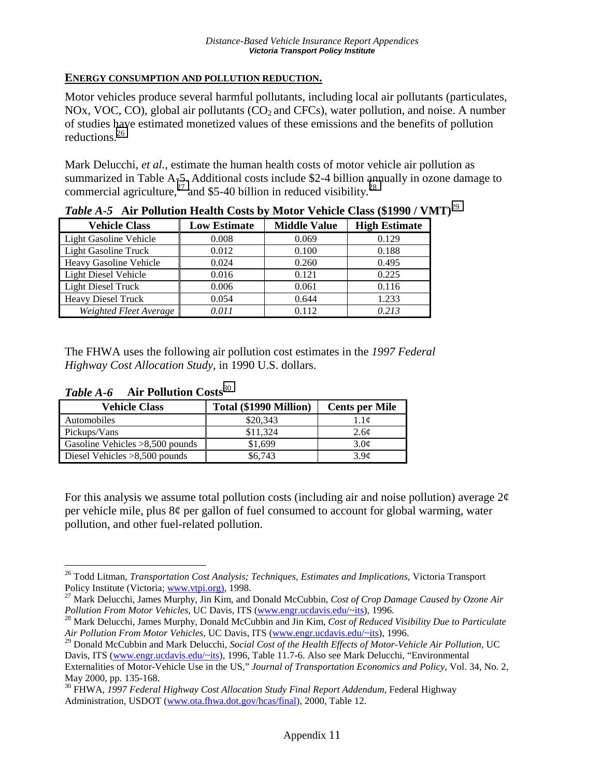### **ENERGY CONSUMPTION AND POLLUTION REDUCTION.**

Motor vehicles produce several harmful pollutants, including local air pollutants (particulates, NOx, VOC, CO), global air pollutants  $(CO<sub>2</sub>$  and CFCs), water pollution, and noise. A number of studies have estimated monetized values of these emissions and the benefits of pollution reductions.26

Mark Delucchi, *et al.*, estimate the human health costs of motor vehicle air pollution as summarized in Table A-5. Additional costs include \$2-4 billion annually in ozone damage to commercial agriculture,<sup>27</sup> and \$5-40 billion in reduced visibility.<sup>28</sup>

| <b>Vehicle Class</b>          | <b>Low Estimate</b> | <b>Middle Value</b> | <b>High Estimate</b> |
|-------------------------------|---------------------|---------------------|----------------------|
| <b>Light Gasoline Vehicle</b> | 0.008               | 0.069               | 0.129                |
| <b>Light Gasoline Truck</b>   | 0.012               | 0.100               | 0.188                |
| <b>Heavy Gasoline Vehicle</b> | 0.024               | 0.260               | 0.495                |
| <b>Light Diesel Vehicle</b>   | 0.016               | 0.121               | 0.225                |
| <b>Light Diesel Truck</b>     | 0.006               | 0.061               | 0.116                |
| <b>Heavy Diesel Truck</b>     | 0.054               | 0.644               | 1.233                |
| Weighted Fleet Average        | 0.011               | 0.112               | 0.213                |

*Table A-5* **Air Pollution Health Costs by Motor Vehicle Class (\$1990 / VMT)**<sup>29</sup>

The FHWA uses the following air pollution cost estimates in the *1997 Federal Highway Cost Allocation Study*, in 1990 U.S. dollars.

| <b>Vehicle Class</b>              | Total (\$1990 Million) | <b>Cents per Mile</b> |  |  |  |
|-----------------------------------|------------------------|-----------------------|--|--|--|
| Automobiles                       | \$20,343               | 1.1 <sub>c</sub>      |  |  |  |
| Pickups/Vans                      | \$11,324               | 2.6 <sub>c</sub>      |  |  |  |
| Gasoline Vehicles $>8,500$ pounds | \$1,699                | 3.0 <sub>c</sub>      |  |  |  |
| Diesel Vehicles $>8,500$ pounds   | \$6,743                | 3.9 <sub>c</sub>      |  |  |  |

*Table A-6* **Air Pollution Costs**<sup>30</sup>

For this analysis we assume total pollution costs (including air and noise pollution) average  $2\phi$ per vehicle mile, plus 8¢ per gallon of fuel consumed to account for global warming, water pollution, and other fuel-related pollution.

 $\overline{a}$ 26 Todd Litman, *Transportation Cost Analysis; Techniques, Estimates and Implications*, Victoria Transport

Policy Institute (Victoria; www.vtpi.org), 1998.<br><sup>27</sup> Mark Delucchi, James Murphy, Jin Kim, and Donald McCubbin, *Cost of Crop Damage Caused by Ozone Air Pollution From Motor Vehicles*, UC Davis, ITS (www.engr.ucdavis.edu/

<sup>&</sup>lt;sup>28</sup> Mark Delucchi, James Murphy, Donald McCubbin and Jin Kim, *Cost of Reduced Visibility Due to Particulate Air Pollution From Motor Vehicles*, UC Davis, ITS (www.engr.ucdavis.edu/~its), 1996.

<sup>29</sup> Donald McCubbin and Mark Delucchi, *Social Cost of the Health Effects of Motor-Vehicle Air Pollution*, UC Davis, ITS (www.engr.ucdavis.edu/~its), 1996, Table 11.7-6. Also see Mark Delucchi, "Environmental

Externalities of Motor-Vehicle Use in the US," *Journal of Transportation Economics and Policy*, Vol. 34, No. 2, May 2000, pp. 135-168.

<sup>30</sup> FHWA, *1997 Federal Highway Cost Allocation Study Final Report Addendum*, Federal Highway Administration, USDOT (www.ota.fhwa.dot.gov/hcas/final), 2000, Table 12.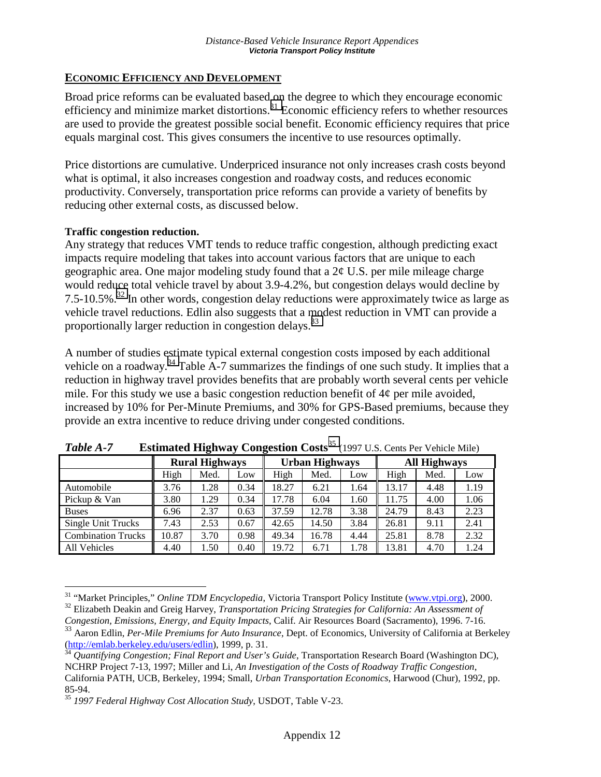## **ECONOMIC EFFICIENCY AND DEVELOPMENT**

Broad price reforms can be evaluated based on the degree to which they encourage economic efficiency and minimize market distortions.<sup>31</sup> Economic efficiency refers to whether resources are used to provide the greatest possible social benefit. Economic efficiency requires that price equals marginal cost. This gives consumers the incentive to use resources optimally.

Price distortions are cumulative. Underpriced insurance not only increases crash costs beyond what is optimal, it also increases congestion and roadway costs, and reduces economic productivity. Conversely, transportation price reforms can provide a variety of benefits by reducing other external costs, as discussed below.

### **Traffic congestion reduction.**

 $\overline{a}$ 

Any strategy that reduces VMT tends to reduce traffic congestion, although predicting exact impacts require modeling that takes into account various factors that are unique to each geographic area. One major modeling study found that a 2¢ U.S. per mile mileage charge would reduce total vehicle travel by about 3.9-4.2%, but congestion delays would decline by 7.5-10.5%.<sup>32</sup> In other words, congestion delay reductions were approximately twice as large as vehicle travel reductions. Edlin also suggests that a modest reduction in VMT can provide a proportionally larger reduction in congestion delays.<sup>33</sup>

A number of studies estimate typical external congestion costs imposed by each additional vehicle on a roadway.<sup>34</sup> Table A-7 summarizes the findings of one such study. It implies that a reduction in highway travel provides benefits that are probably worth several cents per vehicle mile. For this study we use a basic congestion reduction benefit of  $4\phi$  per mile avoided, increased by 10% for Per-Minute Premiums, and 30% for GPS-Based premiums, because they provide an extra incentive to reduce driving under congested conditions.

|                           | <b>Rural Highways</b> |      | <b>Urban Highways</b> |       | <b>All Highways</b> |      |       |      |      |
|---------------------------|-----------------------|------|-----------------------|-------|---------------------|------|-------|------|------|
|                           | High                  | Med. | Low                   | High  | Med.                | Low  | High  | Med. | Low  |
| Automobile                | 3.76                  | .28  | 0.34                  | 18.27 | 6.21                | 1.64 | 13.17 | 4.48 | 1.19 |
| Pickup & Van              | 3.80                  | l.29 | 0.34                  | 17.78 | 6.04                | 1.60 | 11.75 | 4.00 | 1.06 |
| <b>Buses</b>              | 6.96                  | 2.37 | 0.63                  | 37.59 | 12.78               | 3.38 | 24.79 | 8.43 | 2.23 |
| Single Unit Trucks        | 7.43                  | 2.53 | 0.67                  | 42.65 | 14.50               | 3.84 | 26.81 | 9.11 | 2.41 |
| <b>Combination Trucks</b> | 10.87                 | 3.70 | 0.98                  | 49.34 | 16.78               | 4.44 | 25.81 | 8.78 | 2.32 |
| <b>All Vehicles</b>       | 4.40                  | 1.50 | 0.40                  | 19.72 | 6.71                | 1.78 | 13.81 | 4.70 | 1.24 |

| Table A-7 |  |  | <b>Estimated Highway Congestion Costs</b> <sup>35</sup> (1997 U.S. Cents Per Vehicle Mile) |
|-----------|--|--|--------------------------------------------------------------------------------------------|
|-----------|--|--|--------------------------------------------------------------------------------------------|

<sup>&</sup>lt;sup>31</sup> "Market Principles," *Online TDM Encyclopedia*, Victoria Transport Policy Institute ( $\frac{www.vtpi.org}{2}$ ), 2000.<br><sup>32</sup> Elizabeth Deakin and Greig Harvey, *Transportation Pricing Strategies for California: An Assessment of* 

*Congestion, Emissions, Energy, and Equity Impacts*, Calif. Air Resources Board (Sacramento), 1996. 7-16.

<sup>&</sup>lt;sup>33</sup> Aaron Edlin, *Per-Mile Premiums for Auto Insurance*, Dept. of Economics, University of California at Berkeley<br>(http://emlab.berkeley.edu/users/edlin), 1999, p. 31.

<sup>&</sup>lt;sup>34</sup> *Quantifying Congestion; Final Report and User's Guide*, Transportation Research Board (Washington DC), NCHRP Project 7-13, 1997; Miller and Li, *An Investigation of the Costs of Roadway Traffic Congestion*, California PATH, UCB, Berkeley, 1994; Small, *Urban Transportation Economics*, Harwood (Chur), 1992, pp. 85-94.

<sup>35</sup> *1997 Federal Highway Cost Allocation Study*, USDOT, Table V-23.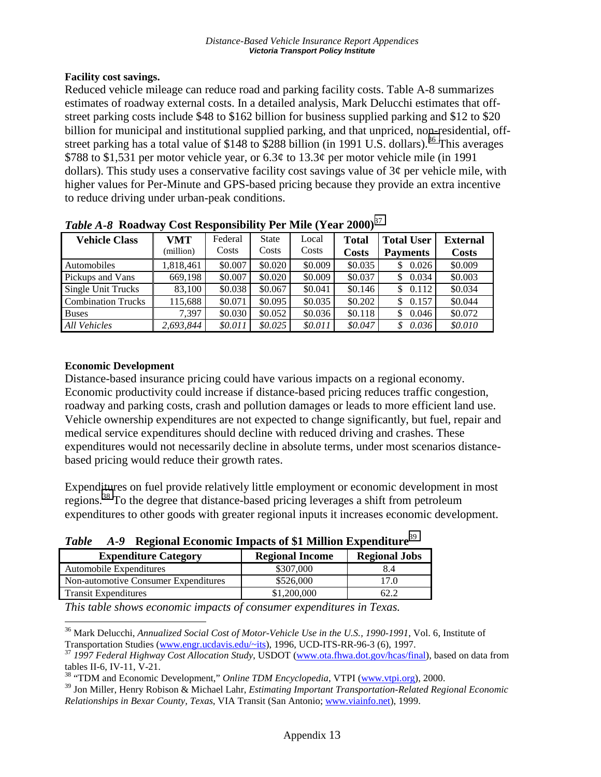### **Facility cost savings.**

Reduced vehicle mileage can reduce road and parking facility costs. Table A-8 summarizes estimates of roadway external costs. In a detailed analysis, Mark Delucchi estimates that offstreet parking costs include \$48 to \$162 billion for business supplied parking and \$12 to \$20 billion for municipal and institutional supplied parking, and that unpriced, non-residential, offstreet parking has a total value of \$148 to \$288 billion (in 1991 U.S. dollars).<sup>36</sup> This averages \$788 to \$1,531 per motor vehicle year, or  $6.3¢$  to  $13.3¢$  per motor vehicle mile (in 1991) dollars). This study uses a conservative facility cost savings value of  $3¢$  per vehicle mile, with higher values for Per-Minute and GPS-based pricing because they provide an extra incentive to reduce driving under urban-peak conditions.

| <b>Vehicle Class</b>      | <b>VMT</b><br>(million) | Federal<br>Costs | <b>State</b><br>Costs | Local<br>Costs | <b>Total</b><br><b>Costs</b> | <b>Total User</b><br><b>Payments</b> | <b>External</b><br><b>Costs</b> |
|---------------------------|-------------------------|------------------|-----------------------|----------------|------------------------------|--------------------------------------|---------------------------------|
| Automobiles               | 1,818,461               | \$0.007          | \$0.020               | \$0.009        | \$0.035                      | 0.026                                | \$0.009                         |
| Pickups and Vans          | 669.198                 | \$0.007          | \$0.020               | \$0.009        | \$0.037                      | 0.034<br>S                           | \$0.003                         |
| <b>Single Unit Trucks</b> | 83.100                  | \$0.038          | \$0.067               | \$0.041        | \$0.146                      | 0.112<br>S                           | \$0.034                         |
| <b>Combination Trucks</b> | 115,688                 | \$0.071          | \$0.095               | \$0.035        | \$0.202                      | 0.157<br>\$                          | \$0.044                         |
| <b>Buses</b>              | 7.397                   | \$0.030          | \$0.052               | \$0.036        | \$0.118                      | 0.046<br>S                           | \$0.072                         |
| <b>All Vehicles</b>       | 2.693.844               | \$0.011          | \$0.025               | \$0.011        | \$0.047                      | 0.036<br>S                           | \$0.010                         |

*Table A-8* **Roadway Cost Responsibility Per Mile (Year 2000)**<sup>37</sup>

### **Economic Development**

 $\overline{a}$ 

Distance-based insurance pricing could have various impacts on a regional economy. Economic productivity could increase if distance-based pricing reduces traffic congestion, roadway and parking costs, crash and pollution damages or leads to more efficient land use. Vehicle ownership expenditures are not expected to change significantly, but fuel, repair and medical service expenditures should decline with reduced driving and crashes. These expenditures would not necessarily decline in absolute terms, under most scenarios distancebased pricing would reduce their growth rates.

Expenditures on fuel provide relatively little employment or economic development in most regions.38 To the degree that distance-based pricing leverages a shift from petroleum expenditures to other goods with greater regional inputs it increases economic development.

*Table A-9* **Regional Economic Impacts of \$1 Million Expenditure**<sup>39</sup>

| 2 WU VU<br>$\mathbf{1}$ , and introduced the property of $\phi$ . Think the property of $\phi$ |                        |                      |  |  |  |
|------------------------------------------------------------------------------------------------|------------------------|----------------------|--|--|--|
| <b>Expenditure Category</b>                                                                    | <b>Regional Income</b> | <b>Regional Jobs</b> |  |  |  |
| Automobile Expenditures                                                                        | \$307,000              | 8.4                  |  |  |  |
| Non-automotive Consumer Expenditures                                                           | \$526,000              | 17.0                 |  |  |  |
| <b>Transit Expenditures</b>                                                                    | \$1,200,000            |                      |  |  |  |

*This table shows economic impacts of consumer expenditures in Texas.* 

<sup>36</sup> Mark Delucchi, *Annualized Social Cost of Motor-Vehicle Use in the U.S., 1990-1991*, Vol. 6, Institute of Transportation Studies (www.engr.ucdavis.edu/~its), 1996, UCD-ITS-RR-96-3 (6), 1997.

<sup>&</sup>lt;sup>37</sup> 1997 Federal Highway Cost Allocation Study, USDOT (www.ota.fhwa.dot.gov/hcas/final), based on data from tables II-6, IV-11, V-21.

<sup>38 &</sup>quot;TDM and Economic Development," *Online TDM Encyclopedia*, VTPI (www.vtpi.org), 2000.

<sup>39</sup> Jon Miller, Henry Robison & Michael Lahr, *Estimating Important Transportation-Related Regional Economic Relationships in Bexar County, Texas*, VIA Transit (San Antonio; www.viainfo.net), 1999.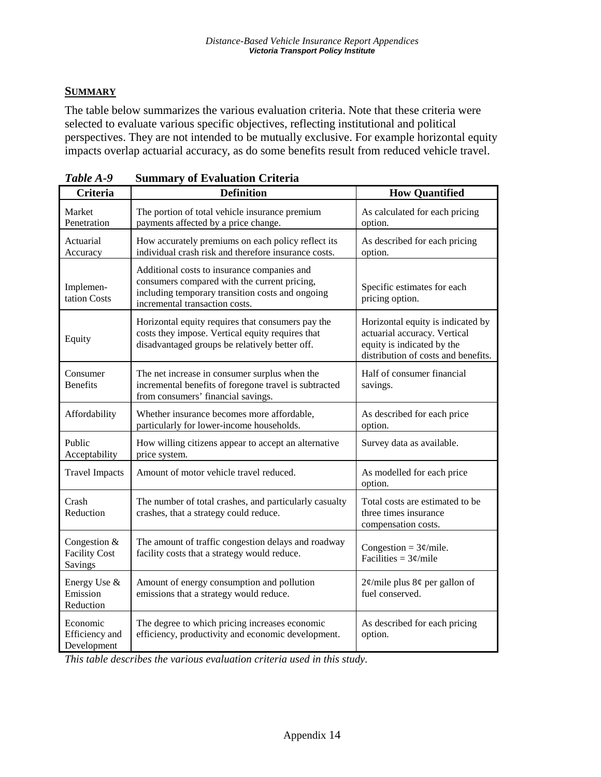## **SUMMARY**

The table below summarizes the various evaluation criteria. Note that these criteria were selected to evaluate various specific objectives, reflecting institutional and political perspectives. They are not intended to be mutually exclusive. For example horizontal equity impacts overlap actuarial accuracy, as do some benefits result from reduced vehicle travel.

| <b>Criteria</b>                                 | <b>Definition</b>                                                                                                                                                                 | <b>How Quantified</b>                                                                                                                  |
|-------------------------------------------------|-----------------------------------------------------------------------------------------------------------------------------------------------------------------------------------|----------------------------------------------------------------------------------------------------------------------------------------|
| Market<br>Penetration                           | The portion of total vehicle insurance premium<br>payments affected by a price change.                                                                                            | As calculated for each pricing<br>option.                                                                                              |
| Actuarial<br>Accuracy                           | How accurately premiums on each policy reflect its<br>individual crash risk and therefore insurance costs.                                                                        | As described for each pricing<br>option.                                                                                               |
| Implemen-<br>tation Costs                       | Additional costs to insurance companies and<br>consumers compared with the current pricing,<br>including temporary transition costs and ongoing<br>incremental transaction costs. | Specific estimates for each<br>pricing option.                                                                                         |
| Equity                                          | Horizontal equity requires that consumers pay the<br>costs they impose. Vertical equity requires that<br>disadvantaged groups be relatively better off.                           | Horizontal equity is indicated by<br>actuarial accuracy. Vertical<br>equity is indicated by the<br>distribution of costs and benefits. |
| Consumer<br><b>Benefits</b>                     | The net increase in consumer surplus when the<br>incremental benefits of foregone travel is subtracted<br>from consumers' financial savings.                                      | Half of consumer financial<br>savings.                                                                                                 |
| Affordability                                   | Whether insurance becomes more affordable,<br>particularly for lower-income households.                                                                                           | As described for each price<br>option.                                                                                                 |
| Public<br>Acceptability                         | How willing citizens appear to accept an alternative<br>price system.                                                                                                             | Survey data as available.                                                                                                              |
| <b>Travel Impacts</b>                           | Amount of motor vehicle travel reduced.                                                                                                                                           | As modelled for each price<br>option.                                                                                                  |
| Crash<br>Reduction                              | The number of total crashes, and particularly casualty<br>crashes, that a strategy could reduce.                                                                                  | Total costs are estimated to be<br>three times insurance<br>compensation costs.                                                        |
| Congestion &<br><b>Facility Cost</b><br>Savings | The amount of traffic congestion delays and roadway<br>facility costs that a strategy would reduce.                                                                               | Congestion = $3¢$ /mile.<br>Facilities = $3¢$ /mile                                                                                    |
| Energy Use &<br>Emission<br>Reduction           | Amount of energy consumption and pollution<br>emissions that a strategy would reduce.                                                                                             | $2\phi$ /mile plus 8¢ per gallon of<br>fuel conserved.                                                                                 |
| Economic<br>Efficiency and<br>Development       | The degree to which pricing increases economic<br>efficiency, productivity and economic development.                                                                              | As described for each pricing<br>option.                                                                                               |

| Table A-9 |  | <b>Summary of Evaluation Criteria</b> |  |
|-----------|--|---------------------------------------|--|
|-----------|--|---------------------------------------|--|

*This table describes the various evaluation criteria used in this study.*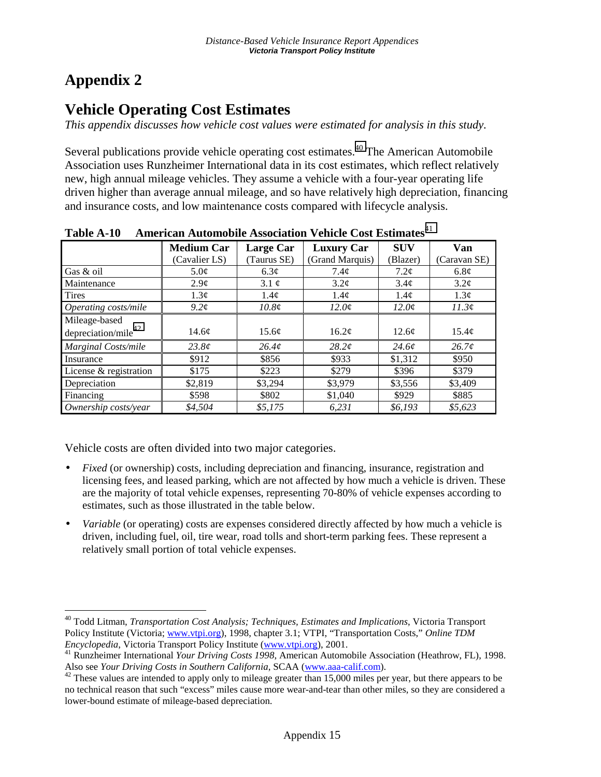## **Appendix 2**

 $\overline{a}$ 

## **Vehicle Operating Cost Estimates**

*This appendix discusses how vehicle cost values were estimated for analysis in this study.* 

Several publications provide vehicle operating cost estimates.<sup>40</sup> The American Automobile Association uses Runzheimer International data in its cost estimates, which reflect relatively new, high annual mileage vehicles. They assume a vehicle with a four-year operating life driven higher than average annual mileage, and so have relatively high depreciation, financing and insurance costs, and low maintenance costs compared with lifecycle analysis.

|                        | <b>Medium Car</b> | Large Car         | <b>Luxury Car</b> | <b>SUV</b> | Van               |
|------------------------|-------------------|-------------------|-------------------|------------|-------------------|
|                        | (Cavalier LS)     | (Taurus SE)       | (Grand Marquis)   | (Blazer)   | (Caravan SE)      |
| Gas & oil              | $5.0\text{\e}$    | $6.3\circ$        | 7.4 <sub>c</sub>  | $7.2\phi$  | 6.8 <sub>c</sub>  |
| Maintenance            | $2.9\phi$         | 3.1 $\phi$        | $3.2\phi$         | $3.4\phi$  | $3.2\phi$         |
| Tires                  | $1.3\phi$         | 1.4¢              | 1.4¢              | $1.4\phi$  | $1.3\phi$         |
| Operating costs/mile   | $9.2\phi$         | 10.8 <sub>c</sub> | $12.0\phi$        | $12.0\phi$ | 11.3¢             |
| Mileage-based          |                   |                   |                   |            |                   |
| depreciation/mile $42$ | $14.6\textdegree$ | 15.6 <sub>c</sub> | 16.2 <sub>c</sub> | 12.6¢      | 15.4 <sub>c</sub> |
| Marginal Costs/mile    | $23.8\mathcal{C}$ | 26.4 <sub>c</sub> | $28.2\ell$        | $24.6\ell$ | 26.7c             |
| Insurance              | \$912             | \$856             | \$933             | \$1,312    | \$950             |
| License & registration | \$175             | \$223             | \$279             | \$396      | \$379             |
| Depreciation           | \$2,819           | \$3,294           | \$3,979           | \$3,556    | \$3,409           |
| Financing              | \$598             | \$802             | \$1,040           | \$929      | \$885             |
| Ownership costs/year   | \$4.504           | \$5,175           | 6,231             | \$6,193    | \$5,623           |

Table A-10 American Automobile Association Vehicle Cost Estimates<sup>41</sup>

Vehicle costs are often divided into two major categories.

- *Fixed* (or ownership) costs, including depreciation and financing, insurance, registration and licensing fees, and leased parking, which are not affected by how much a vehicle is driven. These are the majority of total vehicle expenses, representing 70-80% of vehicle expenses according to estimates, such as those illustrated in the table below.
- *Variable* (or operating) costs are expenses considered directly affected by how much a vehicle is driven, including fuel, oil, tire wear, road tolls and short-term parking fees. These represent a relatively small portion of total vehicle expenses.

<sup>40</sup> Todd Litman, *Transportation Cost Analysis; Techniques, Estimates and Implications*, Victoria Transport Policy Institute (Victoria; www.vtpi.org), 1998, chapter 3.1; VTPI, "Transportation Costs," *Online TDM* 

*Encyclopedia*, Victoria Transport Policy Institute (www.vtpi.org), 2001.<br><sup>41</sup> Runzheimer International *Your Driving Costs 1998*, American Automobile Association (Heathrow, FL), 1998.<br>Also see *Your Driving Costs in South* 

<sup>&</sup>lt;sup>42</sup> These values are intended to apply only to mileage greater than 15,000 miles per year, but there appears to be no technical reason that such "excess" miles cause more wear-and-tear than other miles, so they are considered a lower-bound estimate of mileage-based depreciation.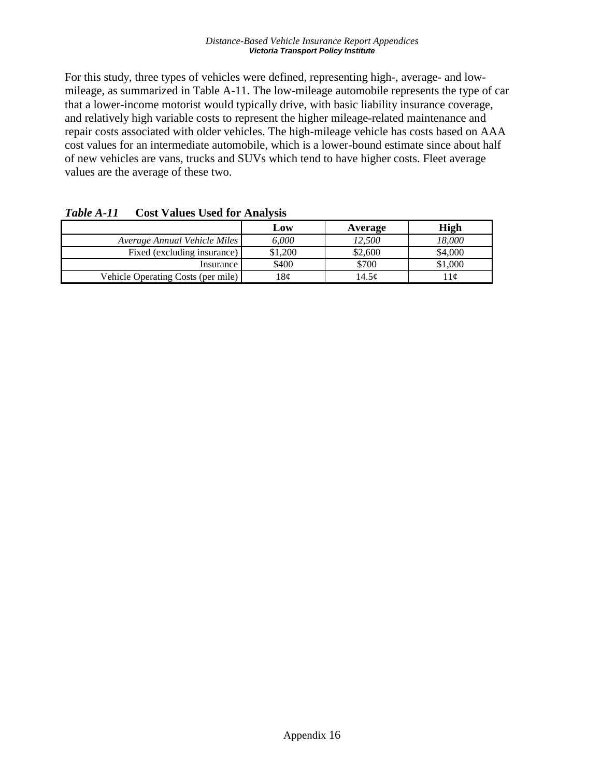#### *Distance-Based Vehicle Insurance Report Appendices Victoria Transport Policy Institute*

For this study, three types of vehicles were defined, representing high-, average- and lowmileage, as summarized in Table A-11. The low-mileage automobile represents the type of car that a lower-income motorist would typically drive, with basic liability insurance coverage, and relatively high variable costs to represent the higher mileage-related maintenance and repair costs associated with older vehicles. The high-mileage vehicle has costs based on AAA cost values for an intermediate automobile, which is a lower-bound estimate since about half of new vehicles are vans, trucks and SUVs which tend to have higher costs. Fleet average values are the average of these two.

|                                    | Low     | Average | High    |
|------------------------------------|---------|---------|---------|
| Average Annual Vehicle Miles       | 6.000   | 12.500  | 18.000  |
| Fixed (excluding insurance)        | \$1.200 | \$2,600 | \$4,000 |
| Insurance                          | \$400   | \$700   | \$1,000 |
| Vehicle Operating Costs (per mile) | 18¢     | 14.5c   | l l c   |

*Table A-11* **Cost Values Used for Analysis**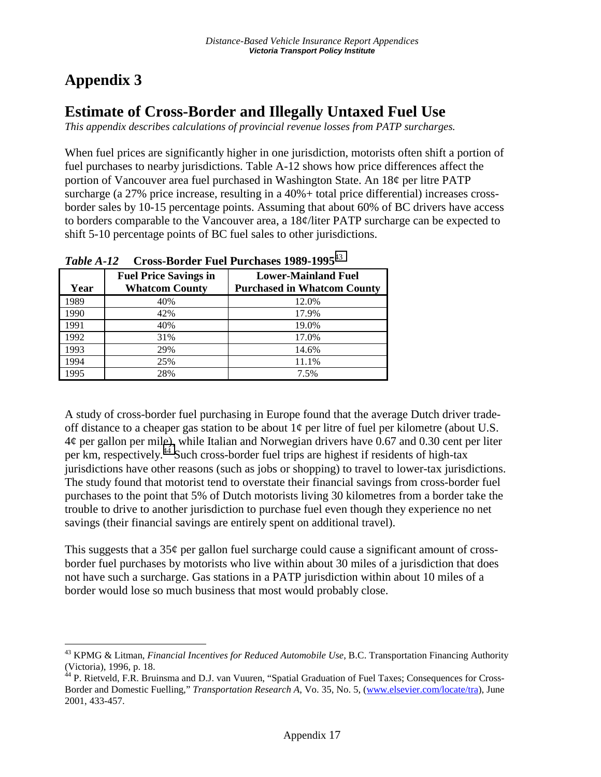## **Appendix 3**

## **Estimate of Cross-Border and Illegally Untaxed Fuel Use**

*This appendix describes calculations of provincial revenue losses from PATP surcharges.* 

When fuel prices are significantly higher in one jurisdiction, motorists often shift a portion of fuel purchases to nearby jurisdictions. Table A-12 shows how price differences affect the portion of Vancouver area fuel purchased in Washington State. An 18¢ per litre PATP surcharge (a 27% price increase, resulting in a 40%+ total price differential) increases crossborder sales by 10-15 percentage points. Assuming that about 60% of BC drivers have access to borders comparable to the Vancouver area, a 18¢/liter PATP surcharge can be expected to shift 5-10 percentage points of BC fuel sales to other jurisdictions.

| 1.WU VV 1.1. 1.2<br><u>UI UUU IYUI WUL I WUL I WI UINUUD IYUY IYYU</u> |                                                       |                                                                  |  |  |  |
|------------------------------------------------------------------------|-------------------------------------------------------|------------------------------------------------------------------|--|--|--|
| Year                                                                   | <b>Fuel Price Savings in</b><br><b>Whatcom County</b> | <b>Lower-Mainland Fuel</b><br><b>Purchased in Whatcom County</b> |  |  |  |
| 1989                                                                   | 40%                                                   | 12.0%                                                            |  |  |  |
| 1990                                                                   | 42%                                                   | 17.9%                                                            |  |  |  |
| 1991                                                                   | 40%                                                   | 19.0%                                                            |  |  |  |
| 1992                                                                   | 31%                                                   | 17.0%                                                            |  |  |  |
| 1993                                                                   | 29%                                                   | 14.6%                                                            |  |  |  |
| 1994                                                                   | 25%                                                   | 11.1%                                                            |  |  |  |
| 1995                                                                   | 28%                                                   | 7.5%                                                             |  |  |  |

*Table A-12* **Cross-Border Fuel Purchases 1989-1995**<sup>43</sup>

A study of cross-border fuel purchasing in Europe found that the average Dutch driver tradeoff distance to a cheaper gas station to be about  $1¢$  per litre of fuel per kilometre (about U.S.  $4¢$  per gallon per mile), while Italian and Norwegian drivers have 0.67 and 0.30 cent per liter per km, respectively.44 Such cross-border fuel trips are highest if residents of high-tax jurisdictions have other reasons (such as jobs or shopping) to travel to lower-tax jurisdictions. The study found that motorist tend to overstate their financial savings from cross-border fuel purchases to the point that 5% of Dutch motorists living 30 kilometres from a border take the trouble to drive to another jurisdiction to purchase fuel even though they experience no net savings (their financial savings are entirely spent on additional travel).

This suggests that a  $35¢$  per gallon fuel surcharge could cause a significant amount of crossborder fuel purchases by motorists who live within about 30 miles of a jurisdiction that does not have such a surcharge. Gas stations in a PATP jurisdiction within about 10 miles of a border would lose so much business that most would probably close.

 $\overline{a}$ 43 KPMG & Litman, *Financial Incentives for Reduced Automobile Use*, B.C. Transportation Financing Authority (Victoria), 1996, p. 18.

<sup>&</sup>lt;sup>44</sup> P. Rietveld, F.R. Bruinsma and D.J. van Vuuren, "Spatial Graduation of Fuel Taxes; Consequences for Cross-Border and Domestic Fuelling," *Transportation Research A*, Vo. 35, No. 5, (www.elsevier.com/locate/tra), June 2001, 433-457.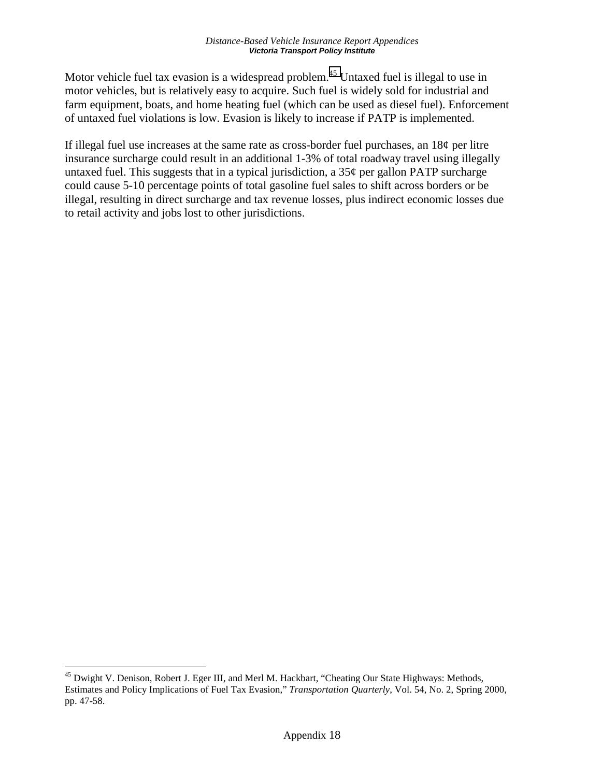Motor vehicle fuel tax evasion is a widespread problem.<sup>45</sup> Untaxed fuel is illegal to use in motor vehicles, but is relatively easy to acquire. Such fuel is widely sold for industrial and farm equipment, boats, and home heating fuel (which can be used as diesel fuel). Enforcement of untaxed fuel violations is low. Evasion is likely to increase if PATP is implemented.

If illegal fuel use increases at the same rate as cross-border fuel purchases, an 18¢ per litre insurance surcharge could result in an additional 1-3% of total roadway travel using illegally untaxed fuel. This suggests that in a typical jurisdiction, a  $35¢$  per gallon PATP surcharge could cause 5-10 percentage points of total gasoline fuel sales to shift across borders or be illegal, resulting in direct surcharge and tax revenue losses, plus indirect economic losses due to retail activity and jobs lost to other jurisdictions.

<sup>&</sup>lt;sup>45</sup> Dwight V. Denison, Robert J. Eger III, and Merl M. Hackbart, "Cheating Our State Highways: Methods, Estimates and Policy Implications of Fuel Tax Evasion," *Transportation Quarterly*, Vol. 54, No. 2, Spring 2000, pp. 47-58.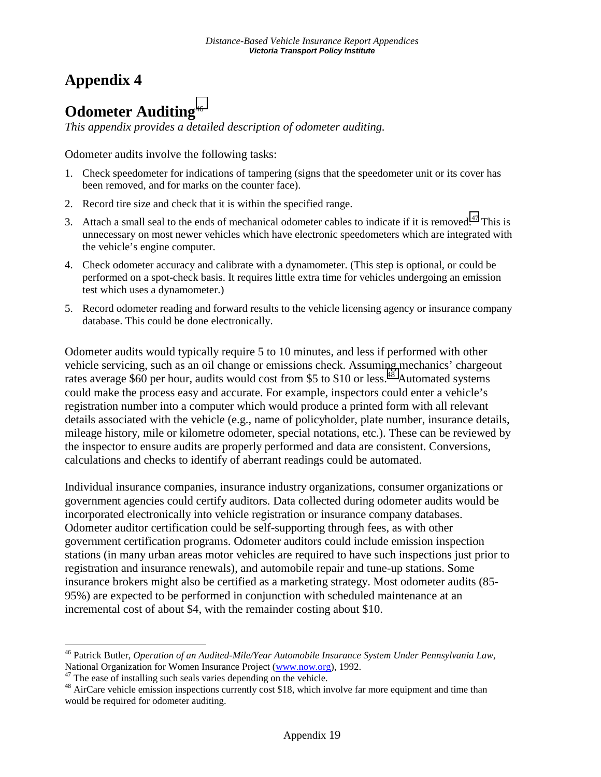## **Appendix 4**

## **Odometer Auditing**46

*This appendix provides a detailed description of odometer auditing.* 

Odometer audits involve the following tasks:

- 1. Check speedometer for indications of tampering (signs that the speedometer unit or its cover has been removed, and for marks on the counter face).
- 2. Record tire size and check that it is within the specified range.
- 3. Attach a small seal to the ends of mechanical odometer cables to indicate if it is removed.<sup>47</sup> This is unnecessary on most newer vehicles which have electronic speedometers which are integrated with the vehicle's engine computer.
- 4. Check odometer accuracy and calibrate with a dynamometer. (This step is optional, or could be performed on a spot-check basis. It requires little extra time for vehicles undergoing an emission test which uses a dynamometer.)
- 5. Record odometer reading and forward results to the vehicle licensing agency or insurance company database. This could be done electronically.

Odometer audits would typically require 5 to 10 minutes, and less if performed with other vehicle servicing, such as an oil change or emissions check. Assuming mechanics' chargeout rates average \$60 per hour, audits would cost from \$5 to \$10 or less.<sup>48</sup> Automated systems could make the process easy and accurate. For example, inspectors could enter a vehicle's registration number into a computer which would produce a printed form with all relevant details associated with the vehicle (e.g., name of policyholder, plate number, insurance details, mileage history, mile or kilometre odometer, special notations, etc.). These can be reviewed by the inspector to ensure audits are properly performed and data are consistent. Conversions, calculations and checks to identify of aberrant readings could be automated.

Individual insurance companies, insurance industry organizations, consumer organizations or government agencies could certify auditors. Data collected during odometer audits would be incorporated electronically into vehicle registration or insurance company databases. Odometer auditor certification could be self-supporting through fees, as with other government certification programs. Odometer auditors could include emission inspection stations (in many urban areas motor vehicles are required to have such inspections just prior to registration and insurance renewals), and automobile repair and tune-up stations. Some insurance brokers might also be certified as a marketing strategy. Most odometer audits (85- 95%) are expected to be performed in conjunction with scheduled maintenance at an incremental cost of about \$4, with the remainder costing about \$10.

<sup>46</sup> Patrick Butler, *Operation of an Audited-Mile/Year Automobile Insurance System Under Pennsylvania Law*, National Organization for Women Insurance Project (www.now.org), 1992.<br><sup>47</sup> The ease of installing such seals varies depending on the vehicle.

<sup>&</sup>lt;sup>48</sup> AirCare vehicle emission inspections currently cost \$18, which involve far more equipment and time than would be required for odometer auditing.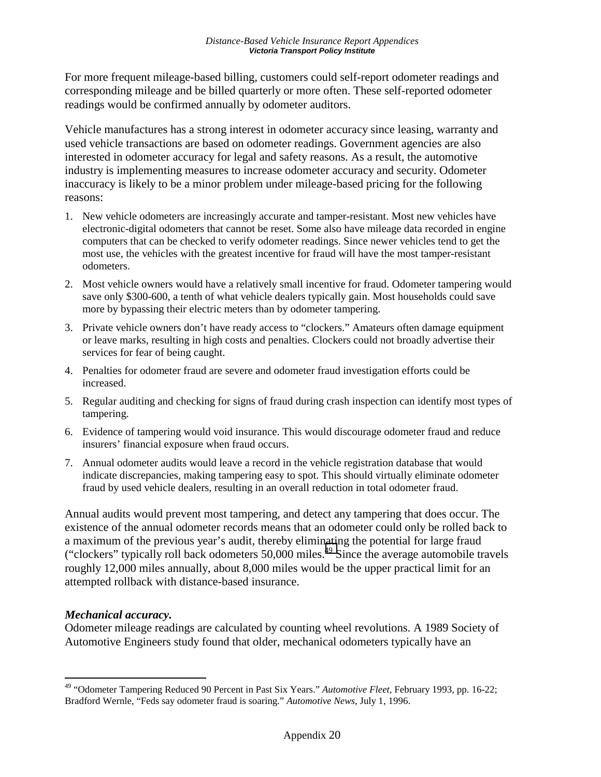For more frequent mileage-based billing, customers could self-report odometer readings and corresponding mileage and be billed quarterly or more often. These self-reported odometer readings would be confirmed annually by odometer auditors.

Vehicle manufactures has a strong interest in odometer accuracy since leasing, warranty and used vehicle transactions are based on odometer readings. Government agencies are also interested in odometer accuracy for legal and safety reasons. As a result, the automotive industry is implementing measures to increase odometer accuracy and security. Odometer inaccuracy is likely to be a minor problem under mileage-based pricing for the following reasons:

- 1. New vehicle odometers are increasingly accurate and tamper-resistant. Most new vehicles have electronic-digital odometers that cannot be reset. Some also have mileage data recorded in engine computers that can be checked to verify odometer readings. Since newer vehicles tend to get the most use, the vehicles with the greatest incentive for fraud will have the most tamper-resistant odometers.
- 2. Most vehicle owners would have a relatively small incentive for fraud. Odometer tampering would save only \$300-600, a tenth of what vehicle dealers typically gain. Most households could save more by bypassing their electric meters than by odometer tampering.
- 3. Private vehicle owners don't have ready access to "clockers." Amateurs often damage equipment or leave marks, resulting in high costs and penalties. Clockers could not broadly advertise their services for fear of being caught.
- 4. Penalties for odometer fraud are severe and odometer fraud investigation efforts could be increased.
- 5. Regular auditing and checking for signs of fraud during crash inspection can identify most types of tampering.
- 6. Evidence of tampering would void insurance. This would discourage odometer fraud and reduce insurers' financial exposure when fraud occurs.
- 7. Annual odometer audits would leave a record in the vehicle registration database that would indicate discrepancies, making tampering easy to spot. This should virtually eliminate odometer fraud by used vehicle dealers, resulting in an overall reduction in total odometer fraud.

Annual audits would prevent most tampering, and detect any tampering that does occur. The existence of the annual odometer records means that an odometer could only be rolled back to a maximum of the previous year's audit, thereby eliminating the potential for large fraud ("clockers" typically roll back odometers  $50,000$  miles.<sup>49</sup> Since the average automobile travels roughly 12,000 miles annually, about 8,000 miles would be the upper practical limit for an attempted rollback with distance-based insurance.

### *Mechanical accuracy.*

 $\overline{a}$ 

Odometer mileage readings are calculated by counting wheel revolutions. A 1989 Society of Automotive Engineers study found that older, mechanical odometers typically have an

<sup>49 &</sup>quot;Odometer Tampering Reduced 90 Percent in Past Six Years." *Automotive Fleet*, February 1993, pp. 16-22; Bradford Wernle, "Feds say odometer fraud is soaring." *Automotive News*, July 1, 1996.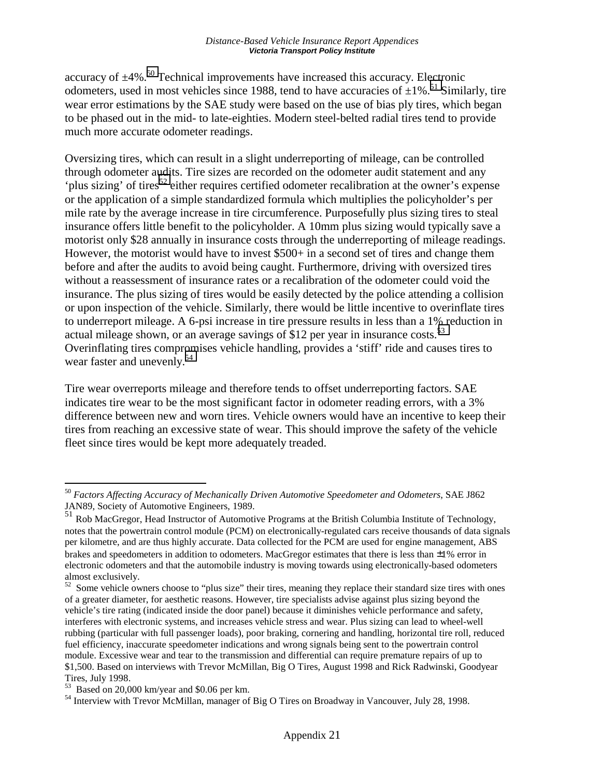accuracy of  $\pm$ 4%.<sup>50</sup> Technical improvements have increased this accuracy. Electronic odometers, used in most vehicles since 1988, tend to have accuracies of  $\pm 1\%$ .<sup>51</sup> Similarly, tire wear error estimations by the SAE study were based on the use of bias ply tires, which began to be phased out in the mid- to late-eighties. Modern steel-belted radial tires tend to provide much more accurate odometer readings.

Oversizing tires, which can result in a slight underreporting of mileage, can be controlled through odometer audits. Tire sizes are recorded on the odometer audit statement and any 'plus sizing' of tires<sup>52</sup> either requires certified odometer recalibration at the owner's expense or the application of a simple standardized formula which multiplies the policyholder's per mile rate by the average increase in tire circumference. Purposefully plus sizing tires to steal insurance offers little benefit to the policyholder. A 10mm plus sizing would typically save a motorist only \$28 annually in insurance costs through the underreporting of mileage readings. However, the motorist would have to invest \$500+ in a second set of tires and change them before and after the audits to avoid being caught. Furthermore, driving with oversized tires without a reassessment of insurance rates or a recalibration of the odometer could void the insurance. The plus sizing of tires would be easily detected by the police attending a collision or upon inspection of the vehicle. Similarly, there would be little incentive to overinflate tires to underreport mileage. A 6-psi increase in tire pressure results in less than a 1% reduction in actual mileage shown, or an average savings of \$12 per year in insurance costs. $^{53}$ Overinflating tires compromises vehicle handling, provides a 'stiff' ride and causes tires to wear faster and unevenly.<sup>54</sup>

Tire wear overreports mileage and therefore tends to offset underreporting factors. SAE indicates tire wear to be the most significant factor in odometer reading errors, with a 3% difference between new and worn tires. Vehicle owners would have an incentive to keep their tires from reaching an excessive state of wear. This should improve the safety of the vehicle fleet since tires would be kept more adequately treaded.

<sup>50</sup> *Factors Affecting Accuracy of Mechanically Driven Automotive Speedometer and Odometers*, SAE J862 JAN89, Society of Automotive Engineers, 1989.

<sup>51</sup> Rob MacGregor, Head Instructor of Automotive Programs at the British Columbia Institute of Technology, notes that the powertrain control module (PCM) on electronically-regulated cars receive thousands of data signals per kilometre, and are thus highly accurate. Data collected for the PCM are used for engine management, ABS brakes and speedometers in addition to odometers. MacGregor estimates that there is less than ±1% error in electronic odometers and that the automobile industry is moving towards using electronically-based odometers almost exclusively.

 $52$  Some vehicle owners choose to "plus size" their tires, meaning they replace their standard size tires with ones of a greater diameter, for aesthetic reasons. However, tire specialists advise against plus sizing beyond the vehicle's tire rating (indicated inside the door panel) because it diminishes vehicle performance and safety, interferes with electronic systems, and increases vehicle stress and wear. Plus sizing can lead to wheel-well rubbing (particular with full passenger loads), poor braking, cornering and handling, horizontal tire roll, reduced fuel efficiency, inaccurate speedometer indications and wrong signals being sent to the powertrain control module. Excessive wear and tear to the transmission and differential can require premature repairs of up to \$1,500. Based on interviews with Trevor McMillan, Big O Tires, August 1998 and Rick Radwinski, Goodyear Tires, July 1998.

 $53$  Based on 20,000 km/year and \$0.06 per km.

<sup>&</sup>lt;sup>54</sup> Interview with Trevor McMillan, manager of Big O Tires on Broadway in Vancouver, July 28, 1998.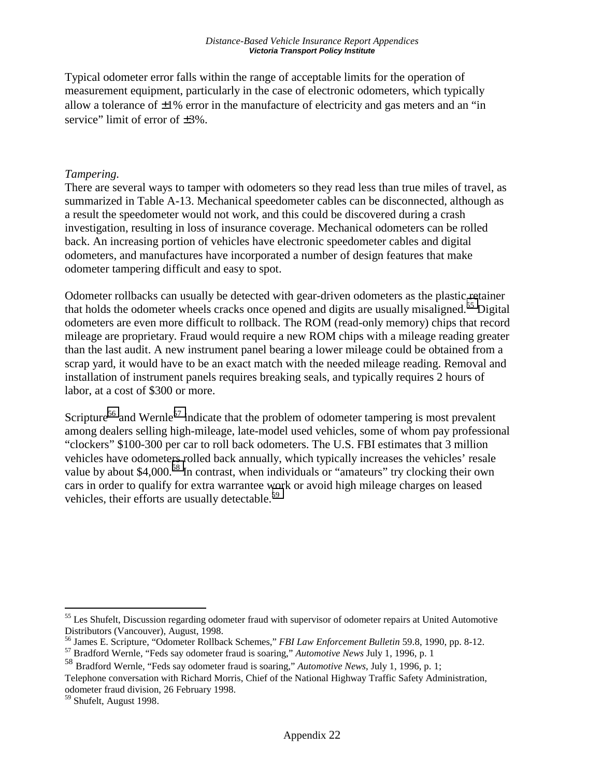Typical odometer error falls within the range of acceptable limits for the operation of measurement equipment, particularly in the case of electronic odometers, which typically allow a tolerance of  $\pm 1\%$  error in the manufacture of electricity and gas meters and an "in" service" limit of error of  $\pm 3\%$ .

#### *Tampering.*

There are several ways to tamper with odometers so they read less than true miles of travel, as summarized in Table A-13. Mechanical speedometer cables can be disconnected, although as a result the speedometer would not work, and this could be discovered during a crash investigation, resulting in loss of insurance coverage. Mechanical odometers can be rolled back. An increasing portion of vehicles have electronic speedometer cables and digital odometers, and manufactures have incorporated a number of design features that make odometer tampering difficult and easy to spot.

Odometer rollbacks can usually be detected with gear-driven odometers as the plastic retainer that holds the odometer wheels cracks once opened and digits are usually misaligned.<sup>55</sup> Digital odometers are even more difficult to rollback. The ROM (read-only memory) chips that record mileage are proprietary. Fraud would require a new ROM chips with a mileage reading greater than the last audit. A new instrument panel bearing a lower mileage could be obtained from a scrap yard, it would have to be an exact match with the needed mileage reading. Removal and installation of instrument panels requires breaking seals, and typically requires 2 hours of labor, at a cost of \$300 or more.

Scripture<sup>56</sup> and Wernle<sup>57</sup> indicate that the problem of odometer tampering is most prevalent among dealers selling high-mileage, late-model used vehicles, some of whom pay professional "clockers" \$100-300 per car to roll back odometers. The U.S. FBI estimates that 3 million vehicles have odometers rolled back annually, which typically increases the vehicles' resale value by about \$4,000.<sup>58</sup> In contrast, when individuals or "amateurs" try clocking their own cars in order to qualify for extra warrantee work or avoid high mileage charges on leased vehicles, their efforts are usually detectable.<sup>59</sup>

<sup>&</sup>lt;sup>55</sup> Les Shufelt, Discussion regarding odometer fraud with supervisor of odometer repairs at United Automotive

Distributors (Vancouver), August, 1998.<br><sup>56</sup> James E. Scripture, "Odometer Rollback Schemes," *FBI Law Enforcement Bulletin* 59.8, 1990, pp. 8-12.<br><sup>57</sup> Bradford Wernle, "Feds say odometer fraud is soaring," *Automotive New* 

<sup>58</sup> Bradford Wernle, "Feds say odometer fraud is soaring," *Automotive News*, July 1, 1996, p. 1;

Telephone conversation with Richard Morris, Chief of the National Highway Traffic Safety Administration, odometer fraud division, 26 February 1998.

<sup>&</sup>lt;sup>59</sup> Shufelt, August 1998.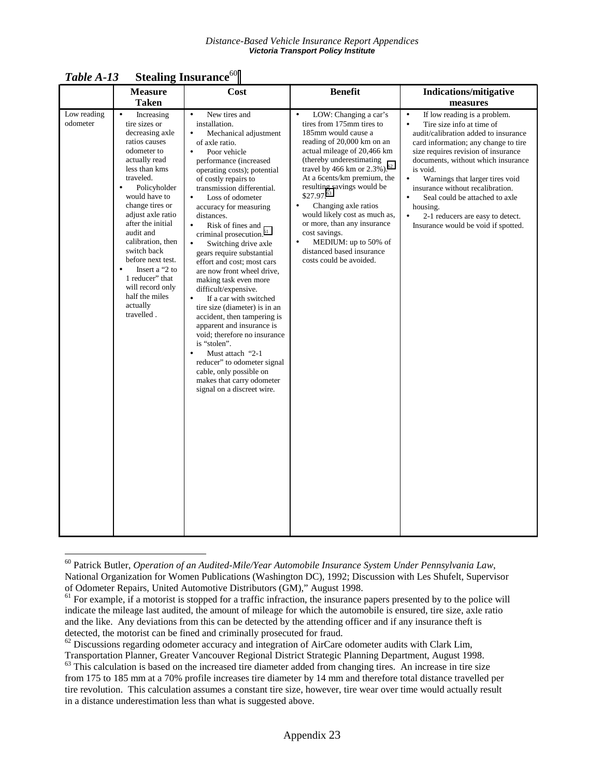|                         | <b>Measure</b>                                                                                                                                                                                                                                                                                                                                                                                                                   | Cost                                                                                                                                                                                                                                                                                                                                                                                                                                                                                                                                                                                                                                                                                                                                                                                                                                                                                                                       | <b>Benefit</b>                                                                                                                                                                                                                                                                                                                                                                                                                                                                                                                     | <b>Indications/mitigative</b>                                                                                                                                                                                                                                                                                                                                                                                                                                                                       |
|-------------------------|----------------------------------------------------------------------------------------------------------------------------------------------------------------------------------------------------------------------------------------------------------------------------------------------------------------------------------------------------------------------------------------------------------------------------------|----------------------------------------------------------------------------------------------------------------------------------------------------------------------------------------------------------------------------------------------------------------------------------------------------------------------------------------------------------------------------------------------------------------------------------------------------------------------------------------------------------------------------------------------------------------------------------------------------------------------------------------------------------------------------------------------------------------------------------------------------------------------------------------------------------------------------------------------------------------------------------------------------------------------------|------------------------------------------------------------------------------------------------------------------------------------------------------------------------------------------------------------------------------------------------------------------------------------------------------------------------------------------------------------------------------------------------------------------------------------------------------------------------------------------------------------------------------------|-----------------------------------------------------------------------------------------------------------------------------------------------------------------------------------------------------------------------------------------------------------------------------------------------------------------------------------------------------------------------------------------------------------------------------------------------------------------------------------------------------|
|                         | <b>Taken</b>                                                                                                                                                                                                                                                                                                                                                                                                                     |                                                                                                                                                                                                                                                                                                                                                                                                                                                                                                                                                                                                                                                                                                                                                                                                                                                                                                                            |                                                                                                                                                                                                                                                                                                                                                                                                                                                                                                                                    | measures                                                                                                                                                                                                                                                                                                                                                                                                                                                                                            |
| Low reading<br>odometer | Increasing<br>$\bullet$<br>tire sizes or<br>decreasing axle<br>ratios causes<br>odometer to<br>actually read<br>less than kms<br>traveled.<br>Policyholder<br>would have to<br>change tires or<br>adjust axle ratio<br>after the initial<br>audit and<br>calibration, then<br>switch back<br>before next test.<br>Insert a "2 to<br>$\bullet$<br>1 reducer" that<br>will record only<br>half the miles<br>actually<br>travelled. | New tires and<br>$\bullet$<br>installation.<br>Mechanical adjustment<br>$\bullet$<br>of axle ratio.<br>Poor vehicle<br>$\bullet$<br>performance (increased<br>operating costs); potential<br>of costly repairs to<br>transmission differential.<br>Loss of odometer<br>$\bullet$<br>accuracy for measuring<br>distances.<br>Risk of fines and<br>$\bullet$<br>criminal prosecution. <sup>61</sup><br>Switching drive axle<br>$\bullet$<br>gears require substantial<br>effort and cost; most cars<br>are now front wheel drive,<br>making task even more<br>difficult/expensive.<br>If a car with switched<br>$\bullet$<br>tire size (diameter) is in an<br>accident, then tampering is<br>apparent and insurance is<br>void; therefore no insurance<br>is "stolen".<br>Must attach "2-1<br>$\bullet$<br>reducer" to odometer signal<br>cable, only possible on<br>makes that carry odometer<br>signal on a discreet wire. | LOW: Changing a car's<br>$\bullet$<br>tires from 175mm tires to<br>185mm would cause a<br>reading of 20,000 km on an<br>actual mileage of 20,466 km<br>(thereby underestimating)<br>travel by 466 km or 2.3%). <sup>62</sup><br>At a 6cents/km premium, the<br>resulting savings would be<br>$$27.97$ . $^{63}$<br>Changing axle ratios<br>$\bullet$<br>would likely cost as much as,<br>or more, than any insurance<br>cost savings.<br>MEDIUM: up to 50% of<br>$\bullet$<br>distanced based insurance<br>costs could be avoided. | If low reading is a problem.<br>$\bullet$<br>Tire size info at time of<br>$\bullet$<br>audit/calibration added to insurance<br>card information; any change to tire<br>size requires revision of insurance<br>documents, without which insurance<br>is void.<br>Warnings that larger tires void<br>$\bullet$<br>insurance without recalibration.<br>Seal could be attached to axle<br>$\bullet$<br>housing.<br>$\bullet$<br>2-1 reducers are easy to detect.<br>Insurance would be void if spotted. |

*Table A-13* **Stealing Insurance**<sup>60</sup>

<sup>60</sup> Patrick Butler, *Operation of an Audited-Mile/Year Automobile Insurance System Under Pennsylvania Law*, National Organization for Women Publications (Washington DC), 1992; Discussion with Les Shufelt, Supervisor of Odometer Repairs, United Automotive Distributors (GM)," August 1998.<br><sup>61</sup> For example, if a motorist is stopped for a traffic infraction, the insurance papers presented by to the police will

indicate the mileage last audited, the amount of mileage for which the automobile is ensured, tire size, axle ratio and the like. Any deviations from this can be detected by the attending officer and if any insurance theft is detected, the motorist can be fined and criminally prosecuted for fraud.

 $62$  Discussions regarding odometer accuracy and integration of AirCare odometer audits with Clark Lim, Transportation Planner, Greater Vancouver Regional District Strategic Planning Department, August 1998. 63 This calculation is based on the increased tire diameter added from changing tires. An increase in tire size

from 175 to 185 mm at a 70% profile increases tire diameter by 14 mm and therefore total distance travelled per tire revolution. This calculation assumes a constant tire size, however, tire wear over time would actually result in a distance underestimation less than what is suggested above.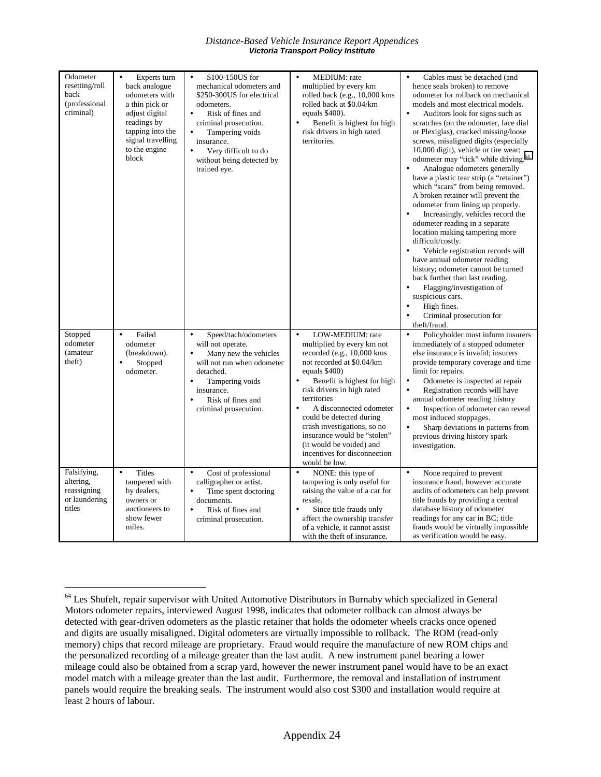*Distance-Based Vehicle Insurance Report Appendices Victoria Transport Policy Institute* 

| Odometer<br>resetting/roll<br>back<br>(professional<br>criminal)   | Experts turn<br>$\bullet$<br>back analogue<br>odometers with<br>a thin pick or<br>adjust digital<br>readings by<br>tapping into the<br>signal travelling<br>to the engine<br>block | \$100-150US for<br>$\bullet$<br>mechanical odometers and<br>\$250-300US for electrical<br>odometers.<br>Risk of fines and<br>$\bullet$<br>criminal prosecution.<br>Tampering voids<br>$\bullet$<br>insurance.<br>$\bullet$<br>Very difficult to do<br>without being detected by<br>trained eye. | MEDIUM: rate<br>$\bullet$<br>multiplied by every km<br>rolled back (e.g., 10,000 kms)<br>rolled back at \$0.04/km<br>equals \$400).<br>Benefit is highest for high<br>$\bullet$<br>risk drivers in high rated<br>territories.                                                                                                                                                                                                          | $\bullet$<br>Cables must be detached (and<br>hence seals broken) to remove<br>odometer for rollback on mechanical<br>models and most electrical models.<br>$\bullet$<br>Auditors look for signs such as<br>scratches (on the odometer, face dial<br>or Plexiglas), cracked missing/loose<br>screws, misaligned digits (especially<br>10,000 digit), vehicle or tire wear;<br>odometer may "tick" while driving. <sup>64</sup><br>Analogue odometers generally<br>$\bullet$<br>have a plastic tear strip (a "retainer")<br>which "scars" from being removed.<br>A broken retainer will prevent the<br>odometer from lining up properly.<br>Increasingly, vehicles record the<br>$\bullet$<br>odometer reading in a separate<br>location making tampering more<br>difficult/costly.<br>Vehicle registration records will<br>$\bullet$<br>have annual odometer reading<br>history; odometer cannot be turned<br>back further than last reading.<br>Flagging/investigation of<br>$\bullet$<br>suspicious cars.<br>High fines.<br>$\bullet$<br>Criminal prosecution for<br>$\bullet$<br>theft/fraud. |
|--------------------------------------------------------------------|------------------------------------------------------------------------------------------------------------------------------------------------------------------------------------|-------------------------------------------------------------------------------------------------------------------------------------------------------------------------------------------------------------------------------------------------------------------------------------------------|----------------------------------------------------------------------------------------------------------------------------------------------------------------------------------------------------------------------------------------------------------------------------------------------------------------------------------------------------------------------------------------------------------------------------------------|-------------------------------------------------------------------------------------------------------------------------------------------------------------------------------------------------------------------------------------------------------------------------------------------------------------------------------------------------------------------------------------------------------------------------------------------------------------------------------------------------------------------------------------------------------------------------------------------------------------------------------------------------------------------------------------------------------------------------------------------------------------------------------------------------------------------------------------------------------------------------------------------------------------------------------------------------------------------------------------------------------------------------------------------------------------------------------------------------|
| Stopped<br>odometer<br>(amateur<br>theft)                          | Failed<br>$\bullet$<br>odometer<br>(breakdown).<br>Stopped<br>٠<br>odometer.                                                                                                       | Speed/tach/odometers<br>$\bullet$<br>will not operate.<br>Many new the vehicles<br>$\bullet$<br>will not run when odometer<br>detached.<br>Tampering voids<br>$\bullet$<br>insurance.<br>Risk of fines and<br>criminal prosecution.                                                             | LOW-MEDIUM: rate<br>$\bullet$<br>multiplied by every km not<br>recorded (e.g., $10,000$ kms<br>not recorded at \$0.04/km<br>equals $$400$ )<br>Benefit is highest for high<br>risk drivers in high rated<br>territories<br>A disconnected odometer<br>$\bullet$<br>could be detected during<br>crash investigations, so no<br>insurance would be "stolen"<br>(it would be voided) and<br>incentives for disconnection<br>would be low. | Policyholder must inform insurers<br>$\bullet$<br>immediately of a stopped odometer<br>else insurance is invalid; insurers<br>provide temporary coverage and time<br>limit for repairs.<br>Odometer is inspected at repair<br>$\bullet$<br>Registration records will have<br>$\bullet$<br>annual odometer reading history<br>Inspection of odometer can reveal<br>$\bullet$<br>most induced stoppages.<br>Sharp deviations in patterns from<br>$\bullet$<br>previous driving history spark<br>investigation.                                                                                                                                                                                                                                                                                                                                                                                                                                                                                                                                                                                    |
| Falsifying,<br>altering,<br>reassigning<br>or laundering<br>titles | <b>Titles</b><br>$\bullet$<br>tampered with<br>by dealers,<br>owners or<br>auctioneers to<br>show fewer<br>miles.                                                                  | Cost of professional<br>$\bullet$<br>calligrapher or artist.<br>Time spent doctoring<br>$\bullet$<br>documents.<br>Risk of fines and<br>$\bullet$<br>criminal prosecution.                                                                                                                      | NONE: this type of<br>$\bullet$<br>tampering is only useful for<br>raising the value of a car for<br>resale.<br>Since title frauds only<br>$\bullet$<br>affect the ownership transfer<br>of a vehicle, it cannot assist<br>with the theft of insurance.                                                                                                                                                                                | $\bullet$<br>None required to prevent<br>insurance fraud, however accurate<br>audits of odometers can help prevent<br>title frauds by providing a central<br>database history of odometer<br>readings for any car in BC; title<br>frauds would be virtually impossible<br>as verification would be easy.                                                                                                                                                                                                                                                                                                                                                                                                                                                                                                                                                                                                                                                                                                                                                                                        |

<sup>&</sup>lt;sup>64</sup> Les Shufelt, repair supervisor with United Automotive Distributors in Burnaby which specialized in General Motors odometer repairs, interviewed August 1998, indicates that odometer rollback can almost always be detected with gear-driven odometers as the plastic retainer that holds the odometer wheels cracks once opened and digits are usually misaligned. Digital odometers are virtually impossible to rollback. The ROM (read-only memory) chips that record mileage are proprietary. Fraud would require the manufacture of new ROM chips and the personalized recording of a mileage greater than the last audit. A new instrument panel bearing a lower mileage could also be obtained from a scrap yard, however the newer instrument panel would have to be an exact model match with a mileage greater than the last audit. Furthermore, the removal and installation of instrument panels would require the breaking seals. The instrument would also cost \$300 and installation would require at least 2 hours of labour.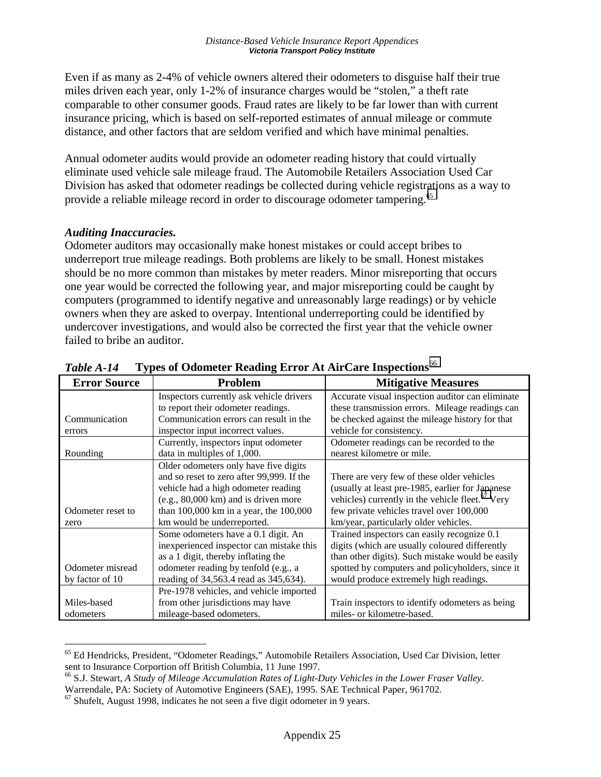Even if as many as 2-4% of vehicle owners altered their odometers to disguise half their true miles driven each year, only 1-2% of insurance charges would be "stolen," a theft rate comparable to other consumer goods. Fraud rates are likely to be far lower than with current insurance pricing, which is based on self-reported estimates of annual mileage or commute distance, and other factors that are seldom verified and which have minimal penalties.

Annual odometer audits would provide an odometer reading history that could virtually eliminate used vehicle sale mileage fraud. The Automobile Retailers Association Used Car Division has asked that odometer readings be collected during vehicle registrations as a way to provide a reliable mileage record in order to discourage odometer tampering.<sup>65</sup>

### *Auditing Inaccuracies.*

 $\overline{a}$ 

Odometer auditors may occasionally make honest mistakes or could accept bribes to underreport true mileage readings. Both problems are likely to be small. Honest mistakes should be no more common than mistakes by meter readers. Minor misreporting that occurs one year would be corrected the following year, and major misreporting could be caught by computers (programmed to identify negative and unreasonably large readings) or by vehicle owners when they are asked to overpay. Intentional underreporting could be identified by undercover investigations, and would also be corrected the first year that the vehicle owner failed to bribe an auditor.

|                     | Types of Outnoted Attaining Electric Tay the Care Imspections |                                                              |  |  |  |  |
|---------------------|---------------------------------------------------------------|--------------------------------------------------------------|--|--|--|--|
| <b>Error Source</b> | Problem                                                       | <b>Mitigative Measures</b>                                   |  |  |  |  |
|                     | Inspectors currently ask vehicle drivers                      | Accurate visual inspection auditor can eliminate             |  |  |  |  |
|                     | to report their odometer readings.                            | these transmission errors. Mileage readings can              |  |  |  |  |
| Communication       | Communication errors can result in the                        | be checked against the mileage history for that              |  |  |  |  |
| errors              | inspector input incorrect values.                             | vehicle for consistency.                                     |  |  |  |  |
|                     | Currently, inspectors input odometer                          | Odometer readings can be recorded to the                     |  |  |  |  |
| Rounding            | data in multiples of 1,000.                                   | nearest kilometre or mile.                                   |  |  |  |  |
|                     | Older odometers only have five digits                         |                                                              |  |  |  |  |
|                     | and so reset to zero after 99,999. If the                     | There are very few of these older vehicles                   |  |  |  |  |
|                     | vehicle had a high odometer reading                           | (usually at least pre-1985, earlier for Japanese             |  |  |  |  |
|                     | $(e.g., 80,000 km)$ and is driven more                        | vehicles) currently in the vehicle fleet. <sup>67</sup> Very |  |  |  |  |
| Odometer reset to   | than $100,000$ km in a year, the $100,000$                    | few private vehicles travel over 100,000                     |  |  |  |  |
| zero                | km would be underreported.                                    | km/year, particularly older vehicles.                        |  |  |  |  |
|                     | Some odometers have a 0.1 digit. An                           | Trained inspectors can easily recognize 0.1                  |  |  |  |  |
|                     | inexperienced inspector can mistake this                      | digits (which are usually coloured differently               |  |  |  |  |
|                     | as a 1 digit, thereby inflating the                           | than other digits). Such mistake would be easily             |  |  |  |  |
| Odometer misread    | odometer reading by tenfold (e.g., a                          | spotted by computers and policyholders, since it             |  |  |  |  |
| by factor of 10     | reading of 34,563.4 read as 345,634).                         | would produce extremely high readings.                       |  |  |  |  |
|                     | Pre-1978 vehicles, and vehicle imported                       |                                                              |  |  |  |  |
| Miles-based         | from other jurisdictions may have                             | Train inspectors to identify odometers as being              |  |  |  |  |
| odometers           | mileage-based odometers.                                      | miles- or kilometre-based.                                   |  |  |  |  |

| Table A-14 | Types of Odometer Reading Error At AirCare Inspections <sup>66</sup> |  |  |
|------------|----------------------------------------------------------------------|--|--|
|            |                                                                      |  |  |

<sup>65</sup> Ed Hendricks, President, "Odometer Readings," Automobile Retailers Association, Used Car Division, letter sent to Insurance Corportion off British Columbia, 11 June 1997.

<sup>66</sup> S.J. Stewart, *A Study of Mileage Accumulation Rates of Light-Duty Vehicles in the Lower Fraser Valley*. Warrendale, PA: Society of Automotive Engineers (SAE), 1995. SAE Technical Paper, 961702.

 $67$  Shufelt, August 1998, indicates he not seen a five digit odometer in 9 years.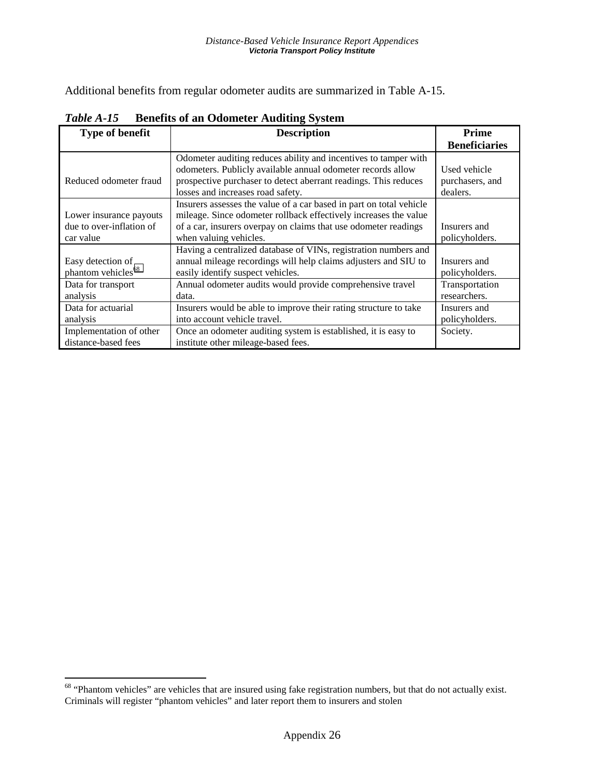Additional benefits from regular odometer audits are summarized in Table A-15.

| <b>Type of benefit</b>                                           | <b>Description</b>                                                                                                                                                                                                                     | Prime                                       |
|------------------------------------------------------------------|----------------------------------------------------------------------------------------------------------------------------------------------------------------------------------------------------------------------------------------|---------------------------------------------|
|                                                                  |                                                                                                                                                                                                                                        | <b>Beneficiaries</b>                        |
| Reduced odometer fraud                                           | Odometer auditing reduces ability and incentives to tamper with<br>odometers. Publicly available annual odometer records allow<br>prospective purchaser to detect aberrant readings. This reduces<br>losses and increases road safety. | Used vehicle<br>purchasers, and<br>dealers. |
| Lower insurance payouts<br>due to over-inflation of<br>car value | Insurers assesses the value of a car based in part on total vehicle<br>mileage. Since odometer rollback effectively increases the value<br>of a car, insurers overpay on claims that use odometer readings<br>when valuing vehicles.   | Insurers and<br>policyholders.              |
| Easy detection of<br>phantom vehicles <sup>68</sup>              | Having a centralized database of VINs, registration numbers and<br>annual mileage recordings will help claims adjusters and SIU to<br>easily identify suspect vehicles.                                                                | Insurers and<br>policyholders.              |
| Data for transport<br>analysis                                   | Annual odometer audits would provide comprehensive travel<br>data.                                                                                                                                                                     | Transportation<br>researchers.              |
| Data for actuarial<br>analysis                                   | Insurers would be able to improve their rating structure to take<br>into account vehicle travel.                                                                                                                                       | Insurers and<br>policyholders.              |
| Implementation of other<br>distance-based fees                   | Once an odometer auditing system is established, it is easy to<br>institute other mileage-based fees.                                                                                                                                  | Society.                                    |

*Table A-15* **Benefits of an Odometer Auditing System** 

 $68$  "Phantom vehicles" are vehicles that are insured using fake registration numbers, but that do not actually exist. Criminals will register "phantom vehicles" and later report them to insurers and stolen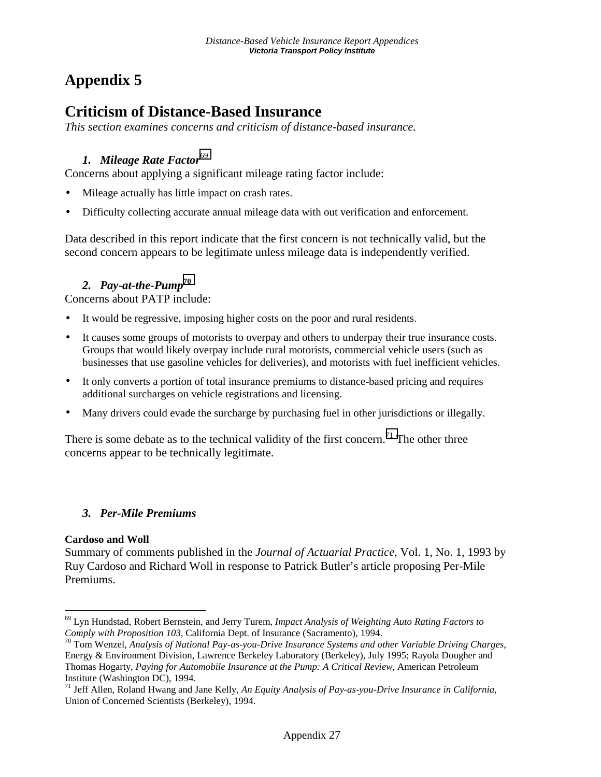## **Appendix 5**

## **Criticism of Distance-Based Insurance**

*This section examines concerns and criticism of distance-based insurance.* 

## **1.** Mileage Rate Factor<sup>69</sup>

Concerns about applying a significant mileage rating factor include:

- Mileage actually has little impact on crash rates.
- Difficulty collecting accurate annual mileage data with out verification and enforcement.

Data described in this report indicate that the first concern is not technically valid, but the second concern appears to be legitimate unless mileage data is independently verified.

## *2. Pay-at-the-Pump***<sup>70</sup>**

Concerns about PATP include:

- It would be regressive, imposing higher costs on the poor and rural residents.
- It causes some groups of motorists to overpay and others to underpay their true insurance costs. Groups that would likely overpay include rural motorists, commercial vehicle users (such as businesses that use gasoline vehicles for deliveries), and motorists with fuel inefficient vehicles.
- It only converts a portion of total insurance premiums to distance-based pricing and requires additional surcharges on vehicle registrations and licensing.
- Many drivers could evade the surcharge by purchasing fuel in other jurisdictions or illegally.

There is some debate as to the technical validity of the first concern.<sup>71</sup> The other three concerns appear to be technically legitimate.

## *3. Per-Mile Premiums*

### **Cardoso and Woll**

Summary of comments published in the *Journal of Actuarial Practice*, Vol. 1, No. 1, 1993 by Ruy Cardoso and Richard Woll in response to Patrick Butler's article proposing Per-Mile Premiums.

 $\overline{a}$ 69 Lyn Hundstad, Robert Bernstein, and Jerry Turem, *Impact Analysis of Weighting Auto Rating Factors to Comply with Proposition 103*, California Dept. of Insurance (Sacramento), 1994.<br><sup>70</sup> Tom Wenzel, *Analysis of National Pay-as-you-Drive Insurance Systems and other Variable Driving Charges,* 

Energy & Environment Division, Lawrence Berkeley Laboratory (Berkeley), July 1995; Rayola Dougher and Thomas Hogarty, *Paying for Automobile Insurance at the Pump: A Critical Review*, American Petroleum Institute (Washington DC), 1994.

<sup>71</sup> Jeff Allen, Roland Hwang and Jane Kelly, *An Equity Analysis of Pay-as-you-Drive Insurance in California*, Union of Concerned Scientists (Berkeley), 1994.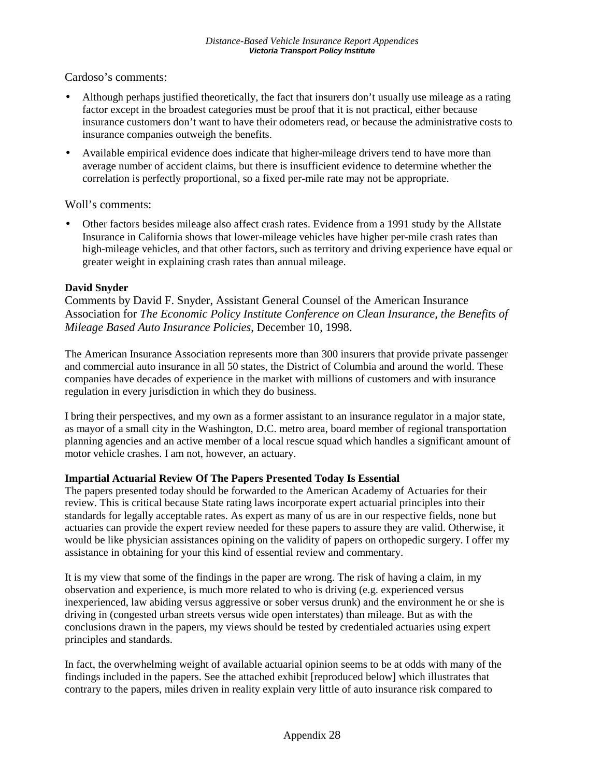Cardoso's comments:

- Although perhaps justified theoretically, the fact that insurers don't usually use mileage as a rating factor except in the broadest categories must be proof that it is not practical, either because insurance customers don't want to have their odometers read, or because the administrative costs to insurance companies outweigh the benefits.
- Available empirical evidence does indicate that higher-mileage drivers tend to have more than average number of accident claims, but there is insufficient evidence to determine whether the correlation is perfectly proportional, so a fixed per-mile rate may not be appropriate.

Woll's comments:

• Other factors besides mileage also affect crash rates. Evidence from a 1991 study by the Allstate Insurance in California shows that lower-mileage vehicles have higher per-mile crash rates than high-mileage vehicles, and that other factors, such as territory and driving experience have equal or greater weight in explaining crash rates than annual mileage.

#### **David Snyder**

Comments by David F. Snyder, Assistant General Counsel of the American Insurance Association for *The Economic Policy Institute Conference on Clean Insurance, the Benefits of Mileage Based Auto Insurance Policies*, December 10, 1998.

The American Insurance Association represents more than 300 insurers that provide private passenger and commercial auto insurance in all 50 states, the District of Columbia and around the world. These companies have decades of experience in the market with millions of customers and with insurance regulation in every jurisdiction in which they do business.

I bring their perspectives, and my own as a former assistant to an insurance regulator in a major state, as mayor of a small city in the Washington, D.C. metro area, board member of regional transportation planning agencies and an active member of a local rescue squad which handles a significant amount of motor vehicle crashes. I am not, however, an actuary.

#### **Impartial Actuarial Review Of The Papers Presented Today Is Essential**

The papers presented today should be forwarded to the American Academy of Actuaries for their review. This is critical because State rating laws incorporate expert actuarial principles into their standards for legally acceptable rates. As expert as many of us are in our respective fields, none but actuaries can provide the expert review needed for these papers to assure they are valid. Otherwise, it would be like physician assistances opining on the validity of papers on orthopedic surgery. I offer my assistance in obtaining for your this kind of essential review and commentary.

It is my view that some of the findings in the paper are wrong. The risk of having a claim, in my observation and experience, is much more related to who is driving (e.g. experienced versus inexperienced, law abiding versus aggressive or sober versus drunk) and the environment he or she is driving in (congested urban streets versus wide open interstates) than mileage. But as with the conclusions drawn in the papers, my views should be tested by credentialed actuaries using expert principles and standards.

In fact, the overwhelming weight of available actuarial opinion seems to be at odds with many of the findings included in the papers. See the attached exhibit [reproduced below] which illustrates that contrary to the papers, miles driven in reality explain very little of auto insurance risk compared to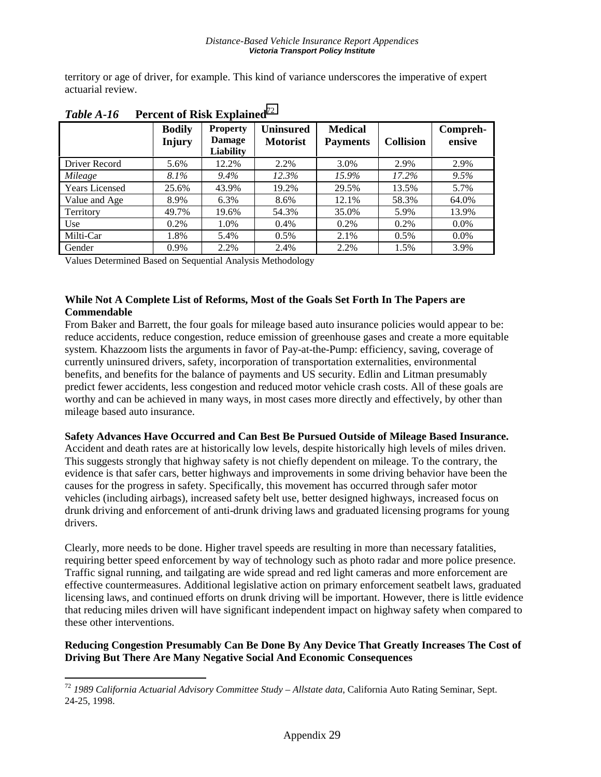territory or age of driver, for example. This kind of variance underscores the imperative of expert actuarial review.

|                       | <b>Bodily</b><br><b>Injury</b> | <b>Property</b><br><b>Damage</b><br>Liability | <b>Uninsured</b><br><b>Motorist</b> | <b>Medical</b><br><b>Payments</b> | <b>Collision</b> | Compreh-<br>ensive |
|-----------------------|--------------------------------|-----------------------------------------------|-------------------------------------|-----------------------------------|------------------|--------------------|
| Driver Record         | 5.6%                           | 12.2%                                         | 2.2%                                | 3.0%                              | 2.9%             | 2.9%               |
| Mileage               | $8.1\%$                        | $9.4\%$                                       | 12.3%                               | 15.9%                             | 17.2%            | $9.5\%$            |
| <b>Years Licensed</b> | 25.6%                          | 43.9%                                         | 19.2%                               | 29.5%                             | 13.5%            | 5.7%               |
| Value and Age         | 8.9%                           | 6.3%                                          | 8.6%                                | 12.1%                             | 58.3%            | 64.0%              |
| Territory             | 49.7%                          | 19.6%                                         | 54.3%                               | 35.0%                             | 5.9%             | 13.9%              |
| Use                   | 0.2%                           | 1.0%                                          | 0.4%                                | 0.2%                              | $0.2\%$          | $0.0\%$            |
| Milti-Car             | 1.8%                           | 5.4%                                          | 0.5%                                | 2.1%                              | $0.5\%$          | $0.0\%$            |
| Gender                | 0.9%                           | 2.2%                                          | 2.4%                                | 2.2%                              | 1.5%             | 3.9%               |

*Table A-16* **Percent of Risk Explained**<sup>72</sup>

Values Determined Based on Sequential Analysis Methodology

 $\overline{a}$ 

#### **While Not A Complete List of Reforms, Most of the Goals Set Forth In The Papers are Commendable**

From Baker and Barrett, the four goals for mileage based auto insurance policies would appear to be: reduce accidents, reduce congestion, reduce emission of greenhouse gases and create a more equitable system. Khazzoom lists the arguments in favor of Pay-at-the-Pump: efficiency, saving, coverage of currently uninsured drivers, safety, incorporation of transportation externalities, environmental benefits, and benefits for the balance of payments and US security. Edlin and Litman presumably predict fewer accidents, less congestion and reduced motor vehicle crash costs. All of these goals are worthy and can be achieved in many ways, in most cases more directly and effectively, by other than mileage based auto insurance.

**Safety Advances Have Occurred and Can Best Be Pursued Outside of Mileage Based Insurance.** 

Accident and death rates are at historically low levels, despite historically high levels of miles driven. This suggests strongly that highway safety is not chiefly dependent on mileage. To the contrary, the evidence is that safer cars, better highways and improvements in some driving behavior have been the causes for the progress in safety. Specifically, this movement has occurred through safer motor vehicles (including airbags), increased safety belt use, better designed highways, increased focus on drunk driving and enforcement of anti-drunk driving laws and graduated licensing programs for young drivers.

Clearly, more needs to be done. Higher travel speeds are resulting in more than necessary fatalities, requiring better speed enforcement by way of technology such as photo radar and more police presence. Traffic signal running, and tailgating are wide spread and red light cameras and more enforcement are effective countermeasures. Additional legislative action on primary enforcement seatbelt laws, graduated licensing laws, and continued efforts on drunk driving will be important. However, there is little evidence that reducing miles driven will have significant independent impact on highway safety when compared to these other interventions.

#### **Reducing Congestion Presumably Can Be Done By Any Device That Greatly Increases The Cost of Driving But There Are Many Negative Social And Economic Consequences**

<sup>72</sup> *1989 California Actuarial Advisory Committee Study – Allstate data*, California Auto Rating Seminar, Sept. 24-25, 1998.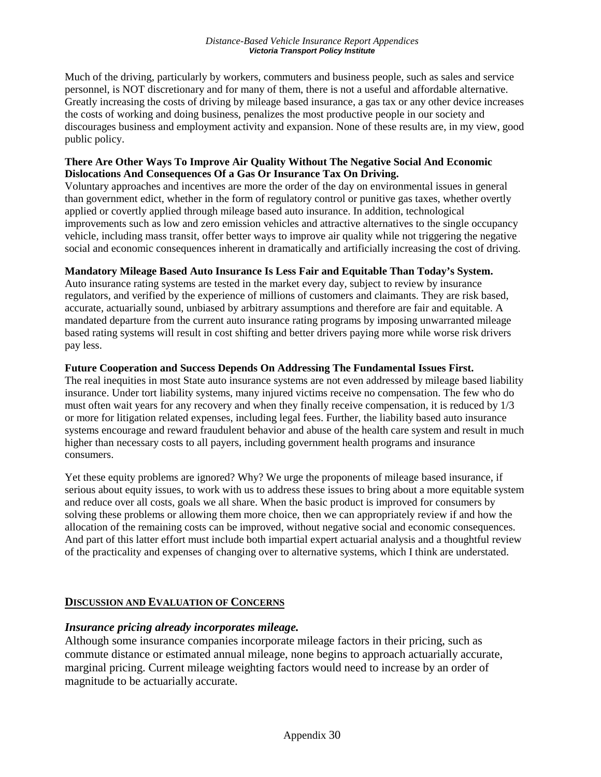Much of the driving, particularly by workers, commuters and business people, such as sales and service personnel, is NOT discretionary and for many of them, there is not a useful and affordable alternative. Greatly increasing the costs of driving by mileage based insurance, a gas tax or any other device increases the costs of working and doing business, penalizes the most productive people in our society and discourages business and employment activity and expansion. None of these results are, in my view, good public policy.

#### **There Are Other Ways To Improve Air Quality Without The Negative Social And Economic Dislocations And Consequences Of a Gas Or Insurance Tax On Driving.**

Voluntary approaches and incentives are more the order of the day on environmental issues in general than government edict, whether in the form of regulatory control or punitive gas taxes, whether overtly applied or covertly applied through mileage based auto insurance. In addition, technological improvements such as low and zero emission vehicles and attractive alternatives to the single occupancy vehicle, including mass transit, offer better ways to improve air quality while not triggering the negative social and economic consequences inherent in dramatically and artificially increasing the cost of driving.

#### **Mandatory Mileage Based Auto Insurance Is Less Fair and Equitable Than Today's System.**

Auto insurance rating systems are tested in the market every day, subject to review by insurance regulators, and verified by the experience of millions of customers and claimants. They are risk based, accurate, actuarially sound, unbiased by arbitrary assumptions and therefore are fair and equitable. A mandated departure from the current auto insurance rating programs by imposing unwarranted mileage based rating systems will result in cost shifting and better drivers paying more while worse risk drivers pay less.

#### **Future Cooperation and Success Depends On Addressing The Fundamental Issues First.**

The real inequities in most State auto insurance systems are not even addressed by mileage based liability insurance. Under tort liability systems, many injured victims receive no compensation. The few who do must often wait years for any recovery and when they finally receive compensation, it is reduced by 1/3 or more for litigation related expenses, including legal fees. Further, the liability based auto insurance systems encourage and reward fraudulent behavior and abuse of the health care system and result in much higher than necessary costs to all payers, including government health programs and insurance consumers.

Yet these equity problems are ignored? Why? We urge the proponents of mileage based insurance, if serious about equity issues, to work with us to address these issues to bring about a more equitable system and reduce over all costs, goals we all share. When the basic product is improved for consumers by solving these problems or allowing them more choice, then we can appropriately review if and how the allocation of the remaining costs can be improved, without negative social and economic consequences. And part of this latter effort must include both impartial expert actuarial analysis and a thoughtful review of the practicality and expenses of changing over to alternative systems, which I think are understated.

### **DISCUSSION AND EVALUATION OF CONCERNS**

### *Insurance pricing already incorporates mileage.*

Although some insurance companies incorporate mileage factors in their pricing, such as commute distance or estimated annual mileage, none begins to approach actuarially accurate, marginal pricing. Current mileage weighting factors would need to increase by an order of magnitude to be actuarially accurate.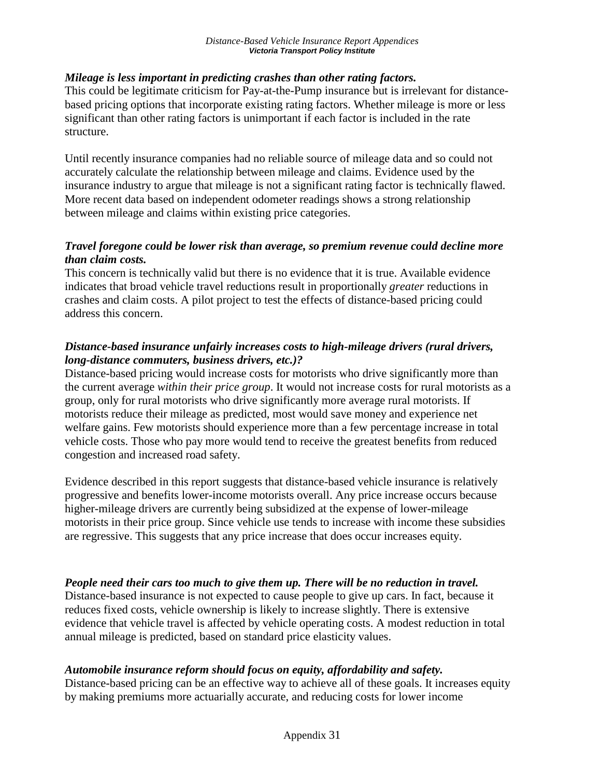## *Mileage is less important in predicting crashes than other rating factors.*

This could be legitimate criticism for Pay-at-the-Pump insurance but is irrelevant for distancebased pricing options that incorporate existing rating factors. Whether mileage is more or less significant than other rating factors is unimportant if each factor is included in the rate structure.

Until recently insurance companies had no reliable source of mileage data and so could not accurately calculate the relationship between mileage and claims. Evidence used by the insurance industry to argue that mileage is not a significant rating factor is technically flawed. More recent data based on independent odometer readings shows a strong relationship between mileage and claims within existing price categories.

## *Travel foregone could be lower risk than average, so premium revenue could decline more than claim costs.*

This concern is technically valid but there is no evidence that it is true. Available evidence indicates that broad vehicle travel reductions result in proportionally *greater* reductions in crashes and claim costs. A pilot project to test the effects of distance-based pricing could address this concern.

## *Distance-based insurance unfairly increases costs to high-mileage drivers (rural drivers, long-distance commuters, business drivers, etc.)?*

Distance-based pricing would increase costs for motorists who drive significantly more than the current average *within their price group*. It would not increase costs for rural motorists as a group, only for rural motorists who drive significantly more average rural motorists. If motorists reduce their mileage as predicted, most would save money and experience net welfare gains. Few motorists should experience more than a few percentage increase in total vehicle costs. Those who pay more would tend to receive the greatest benefits from reduced congestion and increased road safety.

Evidence described in this report suggests that distance-based vehicle insurance is relatively progressive and benefits lower-income motorists overall. Any price increase occurs because higher-mileage drivers are currently being subsidized at the expense of lower-mileage motorists in their price group. Since vehicle use tends to increase with income these subsidies are regressive. This suggests that any price increase that does occur increases equity.

## *People need their cars too much to give them up. There will be no reduction in travel.*

Distance-based insurance is not expected to cause people to give up cars. In fact, because it reduces fixed costs, vehicle ownership is likely to increase slightly. There is extensive evidence that vehicle travel is affected by vehicle operating costs. A modest reduction in total annual mileage is predicted, based on standard price elasticity values.

## *Automobile insurance reform should focus on equity, affordability and safety.*

Distance-based pricing can be an effective way to achieve all of these goals. It increases equity by making premiums more actuarially accurate, and reducing costs for lower income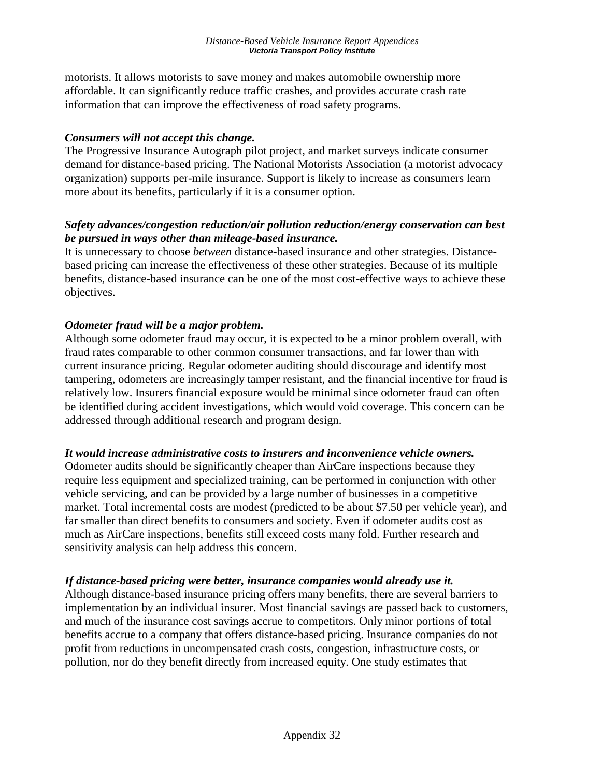motorists. It allows motorists to save money and makes automobile ownership more affordable. It can significantly reduce traffic crashes, and provides accurate crash rate information that can improve the effectiveness of road safety programs.

### *Consumers will not accept this change.*

The Progressive Insurance Autograph pilot project, and market surveys indicate consumer demand for distance-based pricing. The National Motorists Association (a motorist advocacy organization) supports per-mile insurance. Support is likely to increase as consumers learn more about its benefits, particularly if it is a consumer option.

## *Safety advances/congestion reduction/air pollution reduction/energy conservation can best be pursued in ways other than mileage-based insurance.*

It is unnecessary to choose *between* distance-based insurance and other strategies. Distancebased pricing can increase the effectiveness of these other strategies. Because of its multiple benefits, distance-based insurance can be one of the most cost-effective ways to achieve these objectives.

## *Odometer fraud will be a major problem.*

Although some odometer fraud may occur, it is expected to be a minor problem overall, with fraud rates comparable to other common consumer transactions, and far lower than with current insurance pricing. Regular odometer auditing should discourage and identify most tampering, odometers are increasingly tamper resistant, and the financial incentive for fraud is relatively low. Insurers financial exposure would be minimal since odometer fraud can often be identified during accident investigations, which would void coverage. This concern can be addressed through additional research and program design.

## *It would increase administrative costs to insurers and inconvenience vehicle owners.*

Odometer audits should be significantly cheaper than AirCare inspections because they require less equipment and specialized training, can be performed in conjunction with other vehicle servicing, and can be provided by a large number of businesses in a competitive market. Total incremental costs are modest (predicted to be about \$7.50 per vehicle year), and far smaller than direct benefits to consumers and society. Even if odometer audits cost as much as AirCare inspections, benefits still exceed costs many fold. Further research and sensitivity analysis can help address this concern.

## *If distance-based pricing were better, insurance companies would already use it.*

Although distance-based insurance pricing offers many benefits, there are several barriers to implementation by an individual insurer. Most financial savings are passed back to customers, and much of the insurance cost savings accrue to competitors. Only minor portions of total benefits accrue to a company that offers distance-based pricing. Insurance companies do not profit from reductions in uncompensated crash costs, congestion, infrastructure costs, or pollution, nor do they benefit directly from increased equity. One study estimates that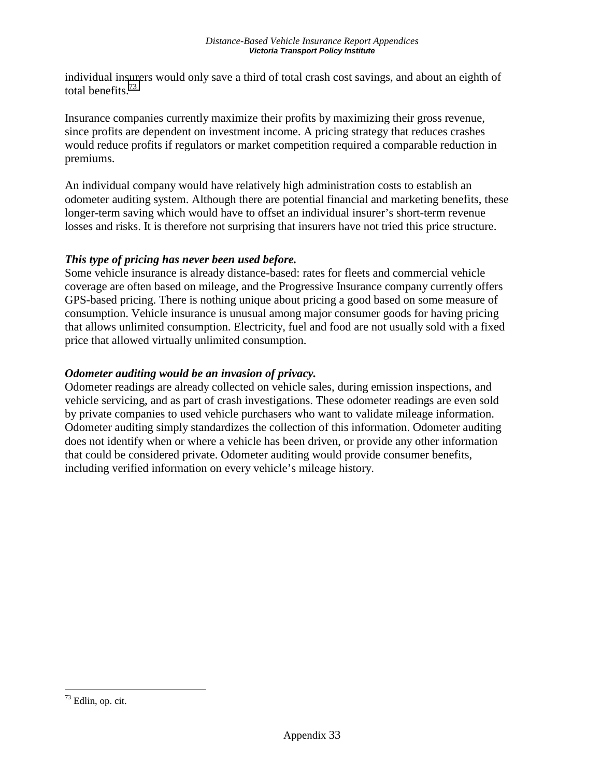individual insurers would only save a third of total crash cost savings, and about an eighth of total benefits.73

Insurance companies currently maximize their profits by maximizing their gross revenue, since profits are dependent on investment income. A pricing strategy that reduces crashes would reduce profits if regulators or market competition required a comparable reduction in premiums.

An individual company would have relatively high administration costs to establish an odometer auditing system. Although there are potential financial and marketing benefits, these longer-term saving which would have to offset an individual insurer's short-term revenue losses and risks. It is therefore not surprising that insurers have not tried this price structure.

## *This type of pricing has never been used before.*

Some vehicle insurance is already distance-based: rates for fleets and commercial vehicle coverage are often based on mileage, and the Progressive Insurance company currently offers GPS-based pricing. There is nothing unique about pricing a good based on some measure of consumption. Vehicle insurance is unusual among major consumer goods for having pricing that allows unlimited consumption. Electricity, fuel and food are not usually sold with a fixed price that allowed virtually unlimited consumption.

## *Odometer auditing would be an invasion of privacy.*

Odometer readings are already collected on vehicle sales, during emission inspections, and vehicle servicing, and as part of crash investigations. These odometer readings are even sold by private companies to used vehicle purchasers who want to validate mileage information. Odometer auditing simply standardizes the collection of this information. Odometer auditing does not identify when or where a vehicle has been driven, or provide any other information that could be considered private. Odometer auditing would provide consumer benefits, including verified information on every vehicle's mileage history.

<sup>73</sup> Edlin, op. cit.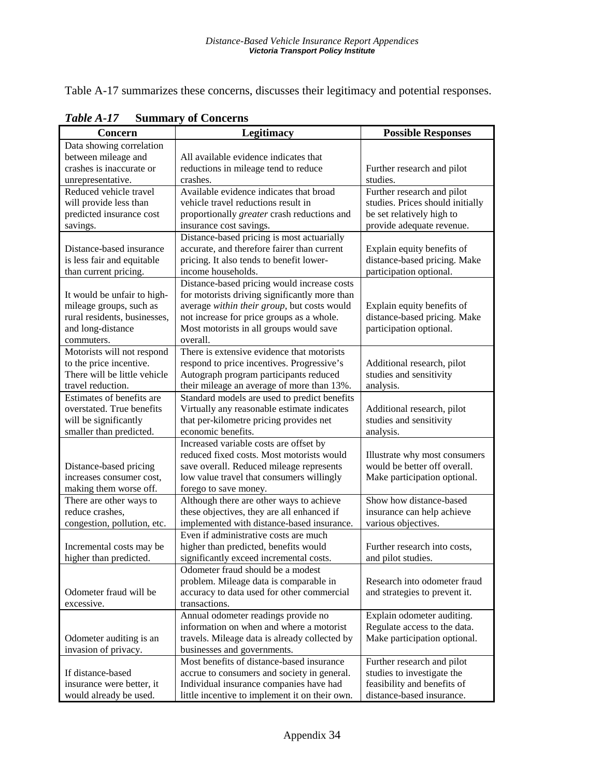Table A-17 summarizes these concerns, discusses their legitimacy and potential responses.

| Concern                      | Legitimacy                                     | <b>Possible Responses</b>        |
|------------------------------|------------------------------------------------|----------------------------------|
| Data showing correlation     |                                                |                                  |
| between mileage and          | All available evidence indicates that          |                                  |
| crashes is inaccurate or     | reductions in mileage tend to reduce           | Further research and pilot       |
| unrepresentative.            | crashes.                                       | studies.                         |
| Reduced vehicle travel       | Available evidence indicates that broad        | Further research and pilot       |
| will provide less than       | vehicle travel reductions result in            | studies. Prices should initially |
| predicted insurance cost     | proportionally greater crash reductions and    | be set relatively high to        |
| savings.                     | insurance cost savings.                        | provide adequate revenue.        |
|                              | Distance-based pricing is most actuarially     |                                  |
| Distance-based insurance     | accurate, and therefore fairer than current    | Explain equity benefits of       |
| is less fair and equitable   | pricing. It also tends to benefit lower-       | distance-based pricing. Make     |
| than current pricing.        | income households.                             | participation optional.          |
|                              | Distance-based pricing would increase costs    |                                  |
| It would be unfair to high-  | for motorists driving significantly more than  |                                  |
| mileage groups, such as      | average within their group, but costs would    | Explain equity benefits of       |
| rural residents, businesses, | not increase for price groups as a whole.      | distance-based pricing. Make     |
| and long-distance            | Most motorists in all groups would save        | participation optional.          |
| commuters.                   | overall.                                       |                                  |
| Motorists will not respond   | There is extensive evidence that motorists     |                                  |
| to the price incentive.      | respond to price incentives. Progressive's     | Additional research, pilot       |
| There will be little vehicle | Autograph program participants reduced         | studies and sensitivity          |
| travel reduction.            | their mileage an average of more than 13%.     | analysis.                        |
| Estimates of benefits are    | Standard models are used to predict benefits   |                                  |
| overstated. True benefits    | Virtually any reasonable estimate indicates    | Additional research, pilot       |
| will be significantly        | that per-kilometre pricing provides net        | studies and sensitivity          |
| smaller than predicted.      | economic benefits.                             | analysis.                        |
|                              | Increased variable costs are offset by         |                                  |
|                              | reduced fixed costs. Most motorists would      | Illustrate why most consumers    |
| Distance-based pricing       | save overall. Reduced mileage represents       | would be better off overall.     |
| increases consumer cost,     | low value travel that consumers willingly      | Make participation optional.     |
| making them worse off.       | forego to save money.                          |                                  |
| There are other ways to      | Although there are other ways to achieve       | Show how distance-based          |
| reduce crashes,              | these objectives, they are all enhanced if     | insurance can help achieve       |
| congestion, pollution, etc.  | implemented with distance-based insurance.     | various objectives.              |
|                              | Even if administrative costs are much          |                                  |
| Incremental costs may be     | higher than predicted, benefits would          | Further research into costs,     |
| higher than predicted.       | significantly exceed incremental costs.        | and pilot studies.               |
|                              | Odometer fraud should be a modest              |                                  |
|                              | problem. Mileage data is comparable in         | Research into odometer fraud     |
| Odometer fraud will be       | accuracy to data used for other commercial     | and strategies to prevent it.    |
| excessive.                   | transactions.                                  |                                  |
|                              | Annual odometer readings provide no            | Explain odometer auditing.       |
|                              | information on when and where a motorist       | Regulate access to the data.     |
| Odometer auditing is an      | travels. Mileage data is already collected by  | Make participation optional.     |
| invasion of privacy.         | businesses and governments.                    |                                  |
|                              | Most benefits of distance-based insurance      | Further research and pilot       |
| If distance-based            | accrue to consumers and society in general.    | studies to investigate the       |
| insurance were better, it    | Individual insurance companies have had        | feasibility and benefits of      |
| would already be used.       | little incentive to implement it on their own. | distance-based insurance.        |

*Table A-17* **Summary of Concerns**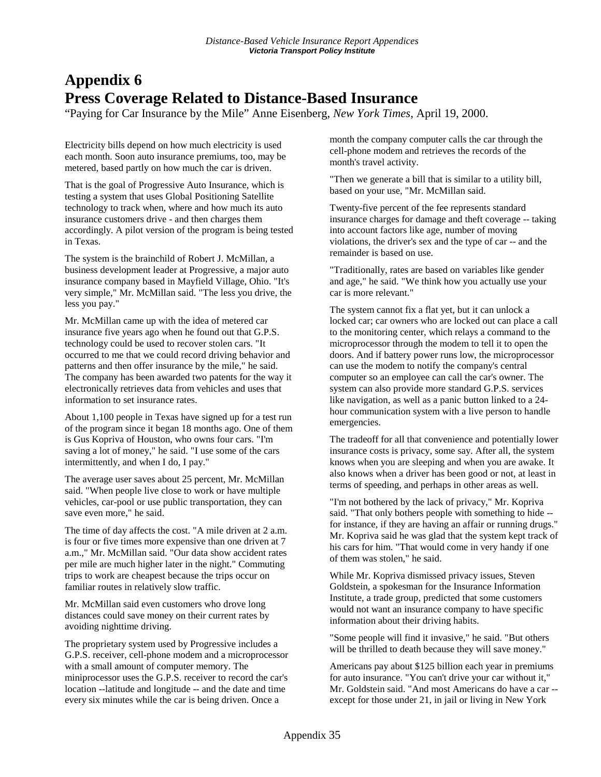## **Appendix 6 Press Coverage Related to Distance-Based Insurance**

"Paying for Car Insurance by the Mile" Anne Eisenberg, *New York Times*, April 19, 2000.

Electricity bills depend on how much electricity is used each month. Soon auto insurance premiums, too, may be metered, based partly on how much the car is driven.

That is the goal of Progressive Auto Insurance, which is testing a system that uses Global Positioning Satellite technology to track when, where and how much its auto insurance customers drive - and then charges them accordingly. A pilot version of the program is being tested in Texas.

The system is the brainchild of Robert J. McMillan, a business development leader at Progressive, a major auto insurance company based in Mayfield Village, Ohio. "It's very simple," Mr. McMillan said. "The less you drive, the less you pay."

Mr. McMillan came up with the idea of metered car insurance five years ago when he found out that G.P.S. technology could be used to recover stolen cars. "It occurred to me that we could record driving behavior and patterns and then offer insurance by the mile," he said. The company has been awarded two patents for the way it electronically retrieves data from vehicles and uses that information to set insurance rates.

About 1,100 people in Texas have signed up for a test run of the program since it began 18 months ago. One of them is Gus Kopriva of Houston, who owns four cars. "I'm saving a lot of money," he said. "I use some of the cars intermittently, and when I do, I pay."

The average user saves about 25 percent, Mr. McMillan said. "When people live close to work or have multiple vehicles, car-pool or use public transportation, they can save even more," he said.

The time of day affects the cost. "A mile driven at 2 a.m. is four or five times more expensive than one driven at 7 a.m.," Mr. McMillan said. "Our data show accident rates per mile are much higher later in the night." Commuting trips to work are cheapest because the trips occur on familiar routes in relatively slow traffic.

Mr. McMillan said even customers who drove long distances could save money on their current rates by avoiding nighttime driving.

The proprietary system used by Progressive includes a G.P.S. receiver, cell-phone modem and a microprocessor with a small amount of computer memory. The miniprocessor uses the G.P.S. receiver to record the car's location --latitude and longitude -- and the date and time every six minutes while the car is being driven. Once a

month the company computer calls the car through the cell-phone modem and retrieves the records of the month's travel activity.

"Then we generate a bill that is similar to a utility bill, based on your use, "Mr. McMillan said.

Twenty-five percent of the fee represents standard insurance charges for damage and theft coverage -- taking into account factors like age, number of moving violations, the driver's sex and the type of car -- and the remainder is based on use.

"Traditionally, rates are based on variables like gender and age," he said. "We think how you actually use your car is more relevant."

The system cannot fix a flat yet, but it can unlock a locked car; car owners who are locked out can place a call to the monitoring center, which relays a command to the microprocessor through the modem to tell it to open the doors. And if battery power runs low, the microprocessor can use the modem to notify the company's central computer so an employee can call the car's owner. The system can also provide more standard G.P.S. services like navigation, as well as a panic button linked to a 24 hour communication system with a live person to handle emergencies.

The tradeoff for all that convenience and potentially lower insurance costs is privacy, some say. After all, the system knows when you are sleeping and when you are awake. It also knows when a driver has been good or not, at least in terms of speeding, and perhaps in other areas as well.

"I'm not bothered by the lack of privacy," Mr. Kopriva said. "That only bothers people with something to hide - for instance, if they are having an affair or running drugs." Mr. Kopriva said he was glad that the system kept track of his cars for him. "That would come in very handy if one of them was stolen," he said.

While Mr. Kopriva dismissed privacy issues, Steven Goldstein, a spokesman for the Insurance Information Institute, a trade group, predicted that some customers would not want an insurance company to have specific information about their driving habits.

"Some people will find it invasive," he said. "But others will be thrilled to death because they will save money."

Americans pay about \$125 billion each year in premiums for auto insurance. "You can't drive your car without it," Mr. Goldstein said. "And most Americans do have a car - except for those under 21, in jail or living in New York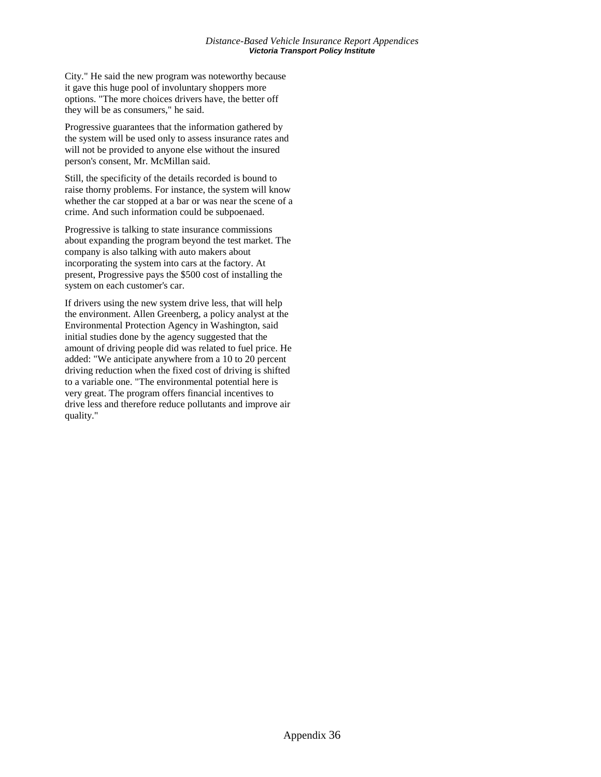City." He said the new program was noteworthy because it gave this huge pool of involuntary shoppers more options. "The more choices drivers have, the better off they will be as consumers," he said.

Progressive guarantees that the information gathered by the system will be used only to assess insurance rates and will not be provided to anyone else without the insured person's consent, Mr. McMillan said.

Still, the specificity of the details recorded is bound to raise thorny problems. For instance, the system will know whether the car stopped at a bar or was near the scene of a crime. And such information could be subpoenaed.

Progressive is talking to state insurance commissions about expanding the program beyond the test market. The company is also talking with auto makers about incorporating the system into cars at the factory. At present, Progressive pays the \$500 cost of installing the system on each customer's car.

If drivers using the new system drive less, that will help the environment. Allen Greenberg, a policy analyst at the Environmental Protection Agency in Washington, said initial studies done by the agency suggested that the amount of driving people did was related to fuel price. He added: "We anticipate anywhere from a 10 to 20 percent driving reduction when the fixed cost of driving is shifted to a variable one. "The environmental potential here is very great. The program offers financial incentives to drive less and therefore reduce pollutants and improve air quality."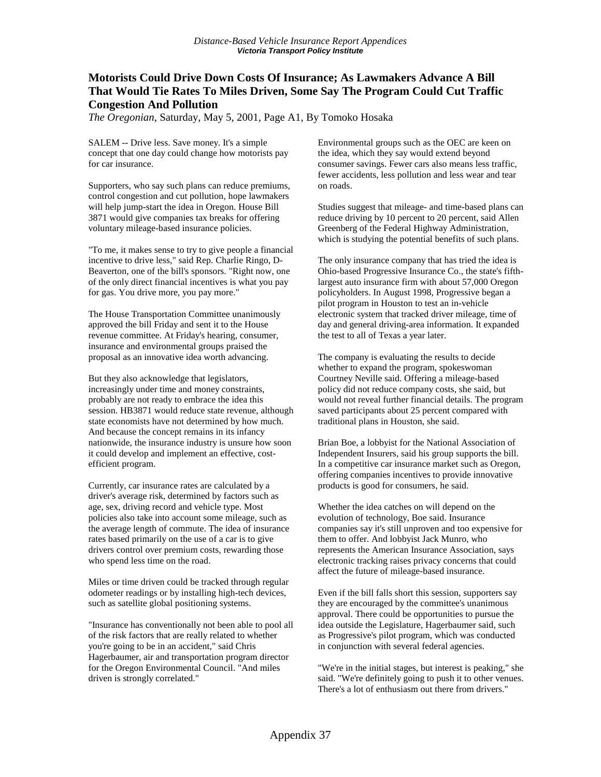### **Motorists Could Drive Down Costs Of Insurance; As Lawmakers Advance A Bill That Would Tie Rates To Miles Driven, Some Say The Program Could Cut Traffic Congestion And Pollution**

*The Oregonian*, Saturday, May 5, 2001, Page A1, By Tomoko Hosaka

SALEM -- Drive less. Save money. It's a simple concept that one day could change how motorists pay for car insurance.

Supporters, who say such plans can reduce premiums, control congestion and cut pollution, hope lawmakers will help jump-start the idea in Oregon. House Bill 3871 would give companies tax breaks for offering voluntary mileage-based insurance policies.

"To me, it makes sense to try to give people a financial incentive to drive less," said Rep. Charlie Ringo, D-Beaverton, one of the bill's sponsors. "Right now, one of the only direct financial incentives is what you pay for gas. You drive more, you pay more."

The House Transportation Committee unanimously approved the bill Friday and sent it to the House revenue committee. At Friday's hearing, consumer, insurance and environmental groups praised the proposal as an innovative idea worth advancing.

But they also acknowledge that legislators, increasingly under time and money constraints, probably are not ready to embrace the idea this session. HB3871 would reduce state revenue, although state economists have not determined by how much. And because the concept remains in its infancy nationwide, the insurance industry is unsure how soon it could develop and implement an effective, costefficient program.

Currently, car insurance rates are calculated by a driver's average risk, determined by factors such as age, sex, driving record and vehicle type. Most policies also take into account some mileage, such as the average length of commute. The idea of insurance rates based primarily on the use of a car is to give drivers control over premium costs, rewarding those who spend less time on the road.

Miles or time driven could be tracked through regular odometer readings or by installing high-tech devices, such as satellite global positioning systems.

"Insurance has conventionally not been able to pool all of the risk factors that are really related to whether you're going to be in an accident," said Chris Hagerbaumer, air and transportation program director for the Oregon Environmental Council. "And miles driven is strongly correlated."

Environmental groups such as the OEC are keen on the idea, which they say would extend beyond consumer savings. Fewer cars also means less traffic, fewer accidents, less pollution and less wear and tear on roads.

Studies suggest that mileage- and time-based plans can reduce driving by 10 percent to 20 percent, said Allen Greenberg of the Federal Highway Administration, which is studying the potential benefits of such plans.

The only insurance company that has tried the idea is Ohio-based Progressive Insurance Co., the state's fifthlargest auto insurance firm with about 57,000 Oregon policyholders. In August 1998, Progressive began a pilot program in Houston to test an in-vehicle electronic system that tracked driver mileage, time of day and general driving-area information. It expanded the test to all of Texas a year later.

The company is evaluating the results to decide whether to expand the program, spokeswoman Courtney Neville said. Offering a mileage-based policy did not reduce company costs, she said, but would not reveal further financial details. The program saved participants about 25 percent compared with traditional plans in Houston, she said.

Brian Boe, a lobbyist for the National Association of Independent Insurers, said his group supports the bill. In a competitive car insurance market such as Oregon, offering companies incentives to provide innovative products is good for consumers, he said.

Whether the idea catches on will depend on the evolution of technology, Boe said. Insurance companies say it's still unproven and too expensive for them to offer. And lobbyist Jack Munro, who represents the American Insurance Association, says electronic tracking raises privacy concerns that could affect the future of mileage-based insurance.

Even if the bill falls short this session, supporters say they are encouraged by the committee's unanimous approval. There could be opportunities to pursue the idea outside the Legislature, Hagerbaumer said, such as Progressive's pilot program, which was conducted in conjunction with several federal agencies.

"We're in the initial stages, but interest is peaking," she said. "We're definitely going to push it to other venues. There's a lot of enthusiasm out there from drivers."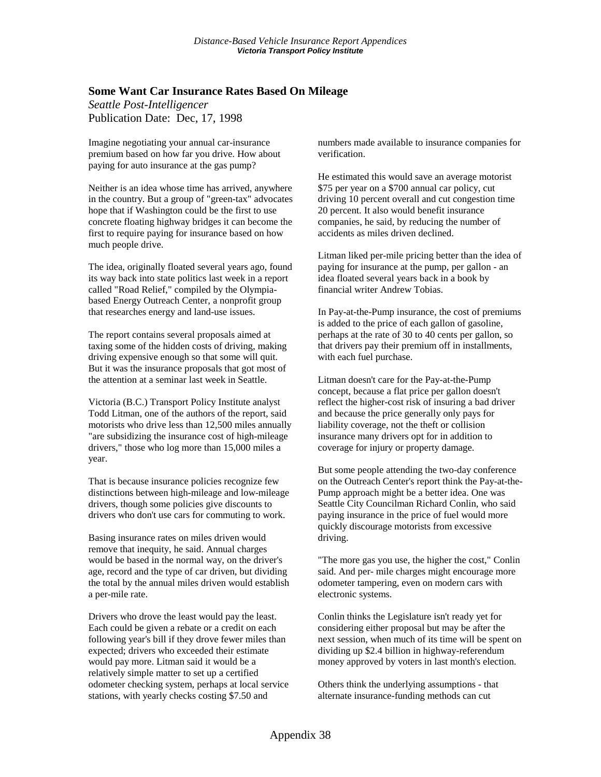#### **Some Want Car Insurance Rates Based On Mileage**

*Seattle Post-Intelligencer*  Publication Date: Dec, 17, 1998

Imagine negotiating your annual car-insurance premium based on how far you drive. How about paying for auto insurance at the gas pump?

Neither is an idea whose time has arrived, anywhere in the country. But a group of "green-tax" advocates hope that if Washington could be the first to use concrete floating highway bridges it can become the first to require paying for insurance based on how much people drive.

The idea, originally floated several years ago, found its way back into state politics last week in a report called "Road Relief," compiled by the Olympiabased Energy Outreach Center, a nonprofit group that researches energy and land-use issues.

The report contains several proposals aimed at taxing some of the hidden costs of driving, making driving expensive enough so that some will quit. But it was the insurance proposals that got most of the attention at a seminar last week in Seattle.

Victoria (B.C.) Transport Policy Institute analyst Todd Litman, one of the authors of the report, said motorists who drive less than 12,500 miles annually "are subsidizing the insurance cost of high-mileage drivers," those who log more than 15,000 miles a year.

That is because insurance policies recognize few distinctions between high-mileage and low-mileage drivers, though some policies give discounts to drivers who don't use cars for commuting to work.

Basing insurance rates on miles driven would remove that inequity, he said. Annual charges would be based in the normal way, on the driver's age, record and the type of car driven, but dividing the total by the annual miles driven would establish a per-mile rate.

Drivers who drove the least would pay the least. Each could be given a rebate or a credit on each following year's bill if they drove fewer miles than expected; drivers who exceeded their estimate would pay more. Litman said it would be a relatively simple matter to set up a certified odometer checking system, perhaps at local service stations, with yearly checks costing \$7.50 and

numbers made available to insurance companies for verification.

He estimated this would save an average motorist \$75 per year on a \$700 annual car policy, cut driving 10 percent overall and cut congestion time 20 percent. It also would benefit insurance companies, he said, by reducing the number of accidents as miles driven declined.

Litman liked per-mile pricing better than the idea of paying for insurance at the pump, per gallon - an idea floated several years back in a book by financial writer Andrew Tobias.

In Pay-at-the-Pump insurance, the cost of premiums is added to the price of each gallon of gasoline, perhaps at the rate of 30 to 40 cents per gallon, so that drivers pay their premium off in installments, with each fuel purchase.

Litman doesn't care for the Pay-at-the-Pump concept, because a flat price per gallon doesn't reflect the higher-cost risk of insuring a bad driver and because the price generally only pays for liability coverage, not the theft or collision insurance many drivers opt for in addition to coverage for injury or property damage.

But some people attending the two-day conference on the Outreach Center's report think the Pay-at-the-Pump approach might be a better idea. One was Seattle City Councilman Richard Conlin, who said paying insurance in the price of fuel would more quickly discourage motorists from excessive driving.

"The more gas you use, the higher the cost," Conlin said. And per- mile charges might encourage more odometer tampering, even on modern cars with electronic systems.

Conlin thinks the Legislature isn't ready yet for considering either proposal but may be after the next session, when much of its time will be spent on dividing up \$2.4 billion in highway-referendum money approved by voters in last month's election.

Others think the underlying assumptions - that alternate insurance-funding methods can cut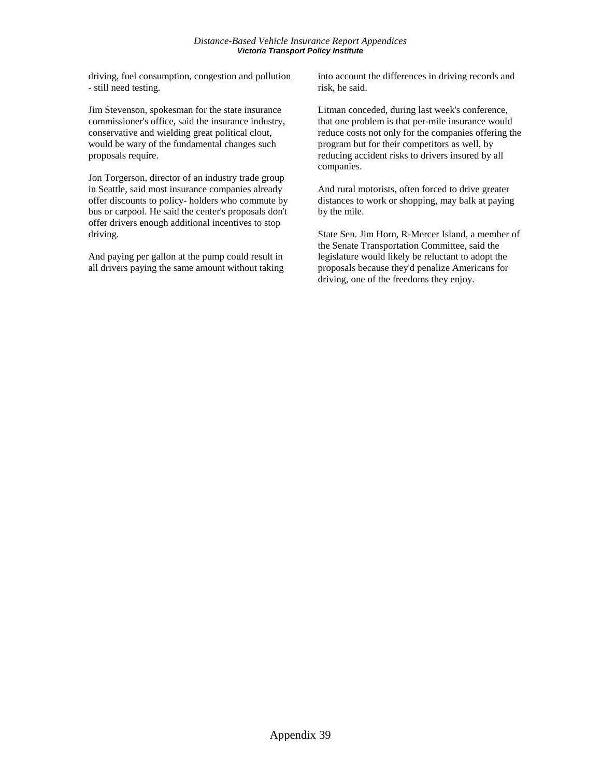driving, fuel consumption, congestion and pollution - still need testing.

Jim Stevenson, spokesman for the state insurance commissioner's office, said the insurance industry, conservative and wielding great political clout, would be wary of the fundamental changes such proposals require.

Jon Torgerson, director of an industry trade group in Seattle, said most insurance companies already offer discounts to policy- holders who commute by bus or carpool. He said the center's proposals don't offer drivers enough additional incentives to stop driving.

And paying per gallon at the pump could result in all drivers paying the same amount without taking

into account the differences in driving records and risk, he said.

Litman conceded, during last week's conference, that one problem is that per-mile insurance would reduce costs not only for the companies offering the program but for their competitors as well, by reducing accident risks to drivers insured by all companies.

And rural motorists, often forced to drive greater distances to work or shopping, may balk at paying by the mile.

State Sen. Jim Horn, R-Mercer Island, a member of the Senate Transportation Committee, said the legislature would likely be reluctant to adopt the proposals because they'd penalize Americans for driving, one of the freedoms they enjoy.